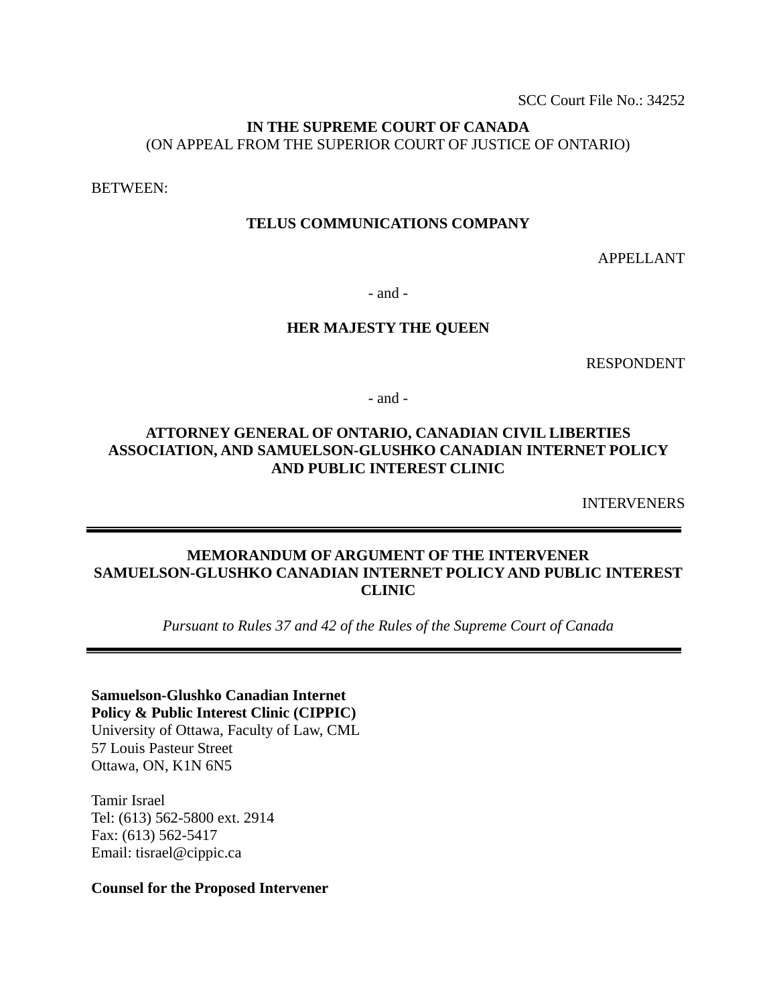SCC Court File No.: 34252

# **IN THE SUPREME COURT OF CANADA** (ON APPEAL FROM THE SUPERIOR COURT OF JUSTICE OF ONTARIO)

BETWEEN:

# **TELUS COMMUNICATIONS COMPANY**

APPELLANT

- and -

## **HER MAJESTY THE QUEEN**

RESPONDENT

- and -

# **ATTORNEY GENERAL OF ONTARIO, CANADIAN CIVIL LIBERTIES ASSOCIATION, AND SAMUELSON-GLUSHKO CANADIAN INTERNET POLICY AND PUBLIC INTEREST CLINIC**

INTERVENERS

# **MEMORANDUM OF ARGUMENT OF THE INTERVENER SAMUELSON-GLUSHKO CANADIAN INTERNET POLICY AND PUBLIC INTEREST CLINIC**

*Pursuant to Rules 37 and 42 of the Rules of the Supreme Court of Canada* 

**Samuelson-Glushko Canadian Internet Policy & Public Interest Clinic (CIPPIC)**  University of Ottawa, Faculty of Law, CML 57 Louis Pasteur Street Ottawa, ON, K1N 6N5

Tamir Israel Tel: (613) 562-5800 ext. 2914 Fax: (613) 562-5417 Email: tisrael@cippic.ca

## **Counsel for the Proposed Intervener**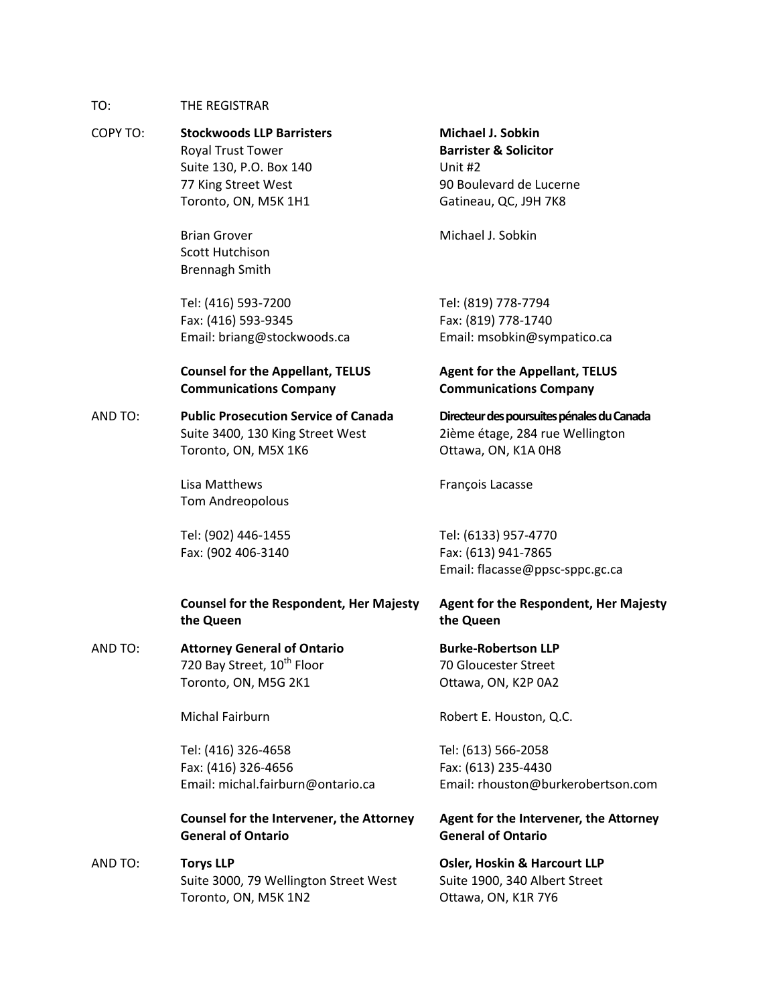# TO: THE REGISTRAR

| COPY TO: | <b>Stockwoods LLP Barristers</b><br>Royal Trust Tower<br>Suite 130, P.O. Box 140<br>77 King Street West<br>Toronto, ON, M5K 1H1 | Michael J. Sobkin<br><b>Barrister &amp; Solicitor</b><br>Unit #2<br>90 Boulevard de Lucerne<br>Gatineau, QC, J9H 7K8 |
|----------|---------------------------------------------------------------------------------------------------------------------------------|----------------------------------------------------------------------------------------------------------------------|
|          | <b>Brian Grover</b><br><b>Scott Hutchison</b><br><b>Brennagh Smith</b>                                                          | Michael J. Sobkin                                                                                                    |
|          | Tel: (416) 593-7200<br>Fax: (416) 593-9345<br>Email: briang@stockwoods.ca                                                       | Tel: (819) 778-7794<br>Fax: (819) 778-1740<br>Email: msobkin@sympatico.ca                                            |
|          | <b>Counsel for the Appellant, TELUS</b><br><b>Communications Company</b>                                                        | <b>Agent for the Appellant, TELUS</b><br><b>Communications Company</b>                                               |
| AND TO:  | <b>Public Prosecution Service of Canada</b><br>Suite 3400, 130 King Street West<br>Toronto, ON, M5X 1K6                         | Directeur des poursuites pénales du Canada<br>2ième étage, 284 rue Wellington<br>Ottawa, ON, K1A 0H8                 |
|          | Lisa Matthews<br>Tom Andreopolous                                                                                               | François Lacasse                                                                                                     |
|          | Tel: (902) 446-1455<br>Fax: (902 406-3140                                                                                       | Tel: (6133) 957-4770<br>Fax: (613) 941-7865<br>Email: flacasse@ppsc-sppc.gc.ca                                       |
|          | <b>Counsel for the Respondent, Her Majesty</b><br>the Queen                                                                     | Agent for the Respondent, Her Majesty<br>the Queen                                                                   |
| AND TO:  | <b>Attorney General of Ontario</b><br>720 Bay Street, 10 <sup>th</sup> Floor<br>Toronto, ON, M5G 2K1                            | <b>Burke-Robertson LLP</b><br>70 Gloucester Street<br>Ottawa, ON, K2P 0A2                                            |
|          | Michal Fairburn                                                                                                                 | Robert E. Houston, Q.C.                                                                                              |
|          | Tel: (416) 326-4658<br>Fax: (416) 326-4656<br>Email: michal.fairburn@ontario.ca                                                 | Tel: (613) 566-2058<br>Fax: (613) 235-4430<br>Email: rhouston@burkerobertson.com                                     |
|          | Counsel for the Intervener, the Attorney<br><b>General of Ontario</b>                                                           | Agent for the Intervener, the Attorney<br><b>General of Ontario</b>                                                  |
| AND TO:  | <b>Torys LLP</b><br>Suite 3000, 79 Wellington Street West<br>Toronto, ON, M5K 1N2                                               | <b>Osler, Hoskin &amp; Harcourt LLP</b><br>Suite 1900, 340 Albert Street<br>Ottawa, ON, K1R 7Y6                      |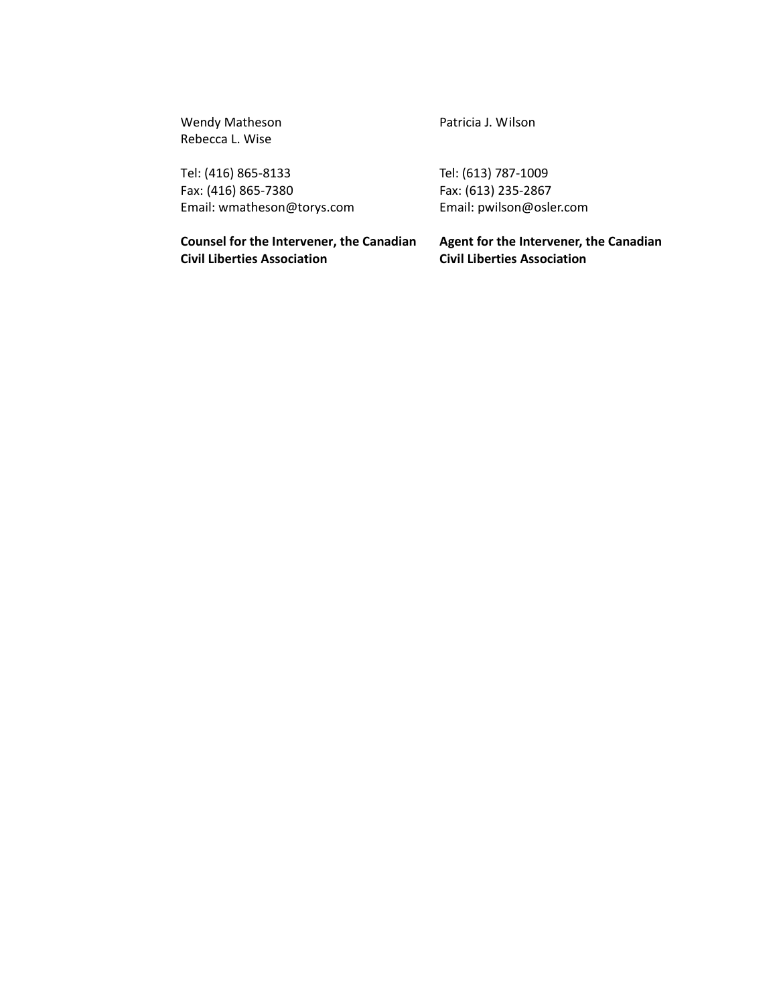Wendy Matheson Rebecca L. Wise

Tel: (416) 865‐8133 Fax: (416) 865‐7380 Email: wmatheson@torys.com Patricia J. Wilson

Tel: (613) 787‐1009 Fax: (613) 235‐2867 Email: pwilson@osler.com

**Counsel for the Intervener, the Canadian Civil Liberties Association**

**Agent for the Intervener, the Canadian Civil Liberties Association**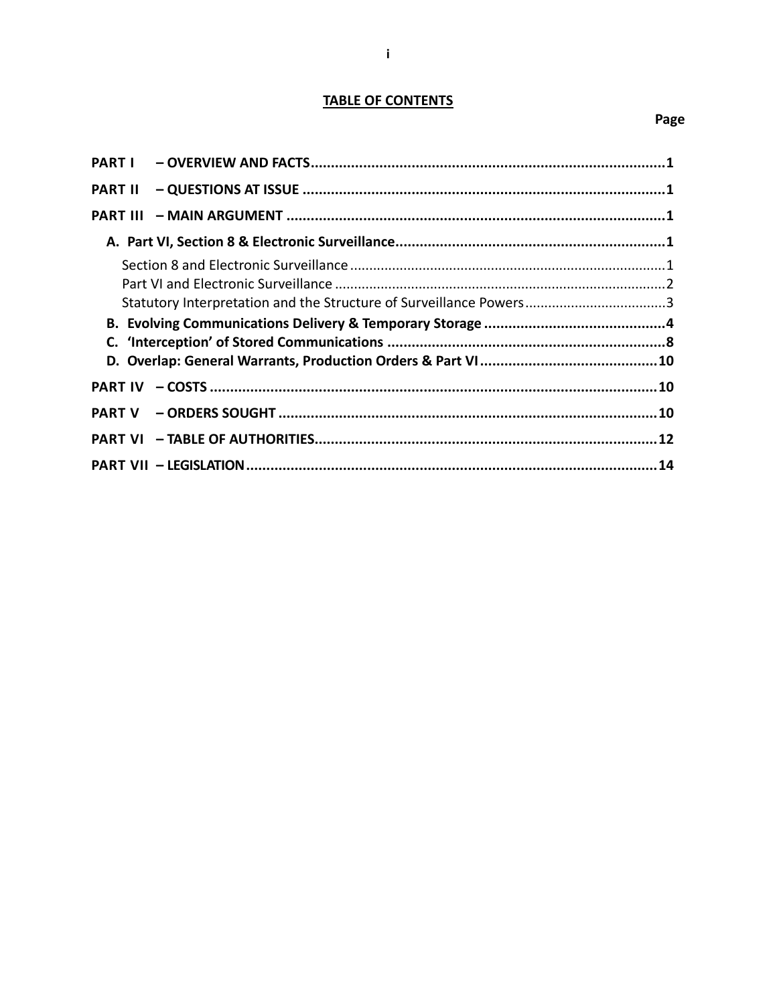# **TABLE OF CONTENTS**

| Statutory Interpretation and the Structure of Surveillance Powers3 |  |
|--------------------------------------------------------------------|--|
|                                                                    |  |
|                                                                    |  |
|                                                                    |  |
|                                                                    |  |
|                                                                    |  |
|                                                                    |  |
|                                                                    |  |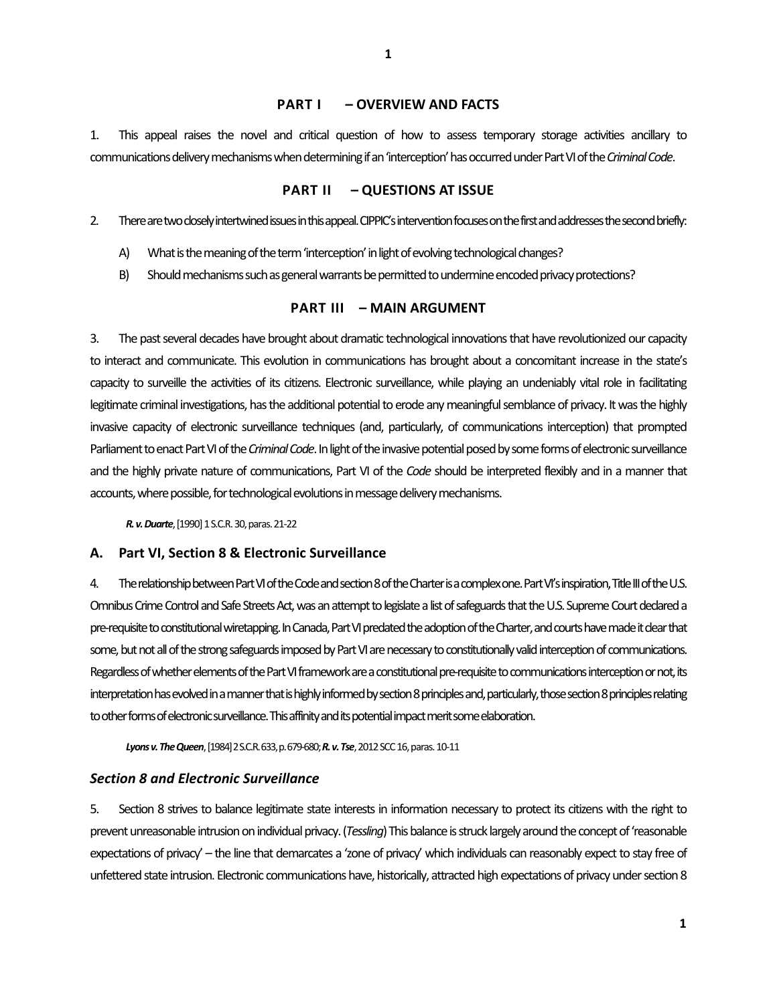## **PART I – OVERVIEW AND FACTS**

1. This appeal raises the novel and critical question of how to assess temporary storage activities ancillary to communications delivery mechanisms when determining if an 'interception' has occurred under Part VI of the Criminal Code.

## **PART II – QUESTIONS AT ISSUE**

- 2. There are two closely intertwined issues in this appeal. CIPPIC's intervention focuses on the first and addresses the second briefly:
	- A) What is the meaning of the term 'interception' in light of evolving technological changes?
	- B) Should mechanisms such as general warrants be permitted to undermine encoded privacy protections?

## **PART III – MAIN ARGUMENT**

3. The pastseveral decades have brought about dramatic technological innovationsthat have revolutionized our capacity to interact and communicate. This evolution in communications has brought about a concomitant increase in the state's capacity to surveille the activities of its citizens. Electronic surveillance, while playing an undeniably vital role in facilitating legitimate criminal investigations, has the additional potential to erode any meaningful semblance of privacy. It was the highly invasive capacity of electronic surveillance techniques (and, particularly, of communications interception) that prompted Parliament to enact Part VI of the Criminal Code. In light of the invasive potential posed by some forms of electronic surveillance and the highly private nature of communications, Part VI of the *Code* should be interpreted flexibly and in a manner that accounts, where possible, for technological evolutions in message delivery mechanisms.

*R. v. Duarte*, [1990] 1 S.C.R. 30, paras. 21-22

## **A. Part VI, Section 8 & Electronic Surveillance**

4. The relationship between Part VI of the Code and section 8 of the Charter is a complex one. Part VI's inspiration, Title III of the U.S. Omnibus Crime Control and Safe Streets Act, was an attempt to legislate a list of safeguards that the U.S. Supreme Court declared a pre-requisite to constitutional wiretapping. In Canada, Part VI predated the adoption of the Charter, and courts have made it dear that some, but not all of the strong safeguards imposed by Part VI are necessary to constitutionally valid interception of communications. Regardless of whether elements of the Part VI framework are a constitutional pre-requisite to communications interception or not, its interpretation has evolved in a manner that is highly informed by section 8 principles and, particularly, those section 8 principles relating to other forms of electronic surveillance. This affinity and its potential impact merit some elaboration.

*Lyonsv.TheQueen*,[1984]2S.C.R.633,p.679‐680;*R.v.Tse*,2012SCC16,paras.10‐11

## *Section 8 and Electronic Surveillance*

5. Section 8 strives to balance legitimate state interests in information necessary to protect its citizens with the right to prevent unreasonable intrusion on individual privacy. (*Tessling*) This balance is struck largely around the concept of 'reasonable expectations of privacy' – the line that demarcates a 'zone of privacy' which individuals can reasonably expect to stay free of unfettered state intrusion. Electronic communications have, historically, attracted high expectations of privacy under section 8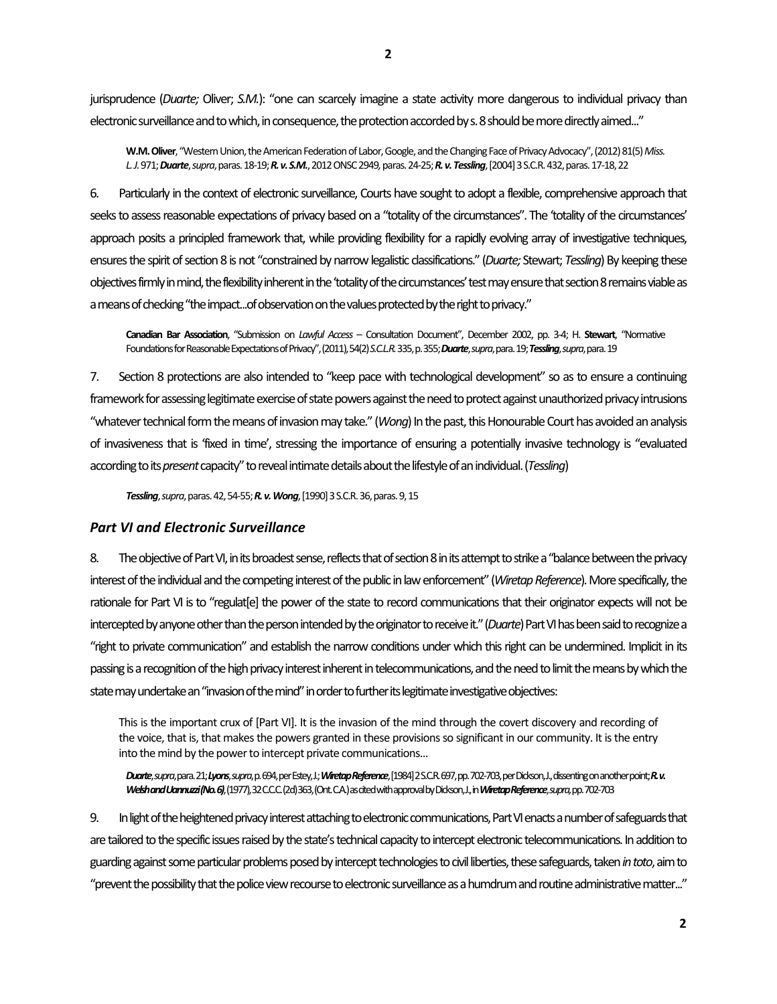jurisprudence (*Duarte;* Oliver; *S.M.*): "one can scarcely imagine a state activity more dangerous to individual privacy than electronic surveillance and to which, in consequence, the protection accorded by s. 8 should be more directly aimed..."

W.M. Oliver, "Western Union, the American Federation of Labor, Google, and the Changing Face of Privacy Advocacy", (2012) 81(5) Miss. *L.J.*971;*Duarte*,*supra*,paras.18‐19;*R.v.S.M.*,2012ONSC2949*,*paras.24‐25;*R.v.Tessling*,[2004]3S.C.R.432,paras.17‐18,22

6. Particularly in the context of electronic surveillance, Courts have soughtto adopt a flexible, comprehensive approach that seeks to assess reasonable expectations of privacy based on a "totality of the circumstances". The 'totality of the circumstances' approach posits a principled framework that, while providing flexibility for a rapidly evolving array of investigative techniques, ensures the spirit of section 8 is not "constrained by narrow legalistic classifications." (*Duarte;* Stewart; *Tessling*) By keeping these objectives firmly in mind, the flexibility inherent in the 'totality of the circumstances' test may ensure that section 8 remains viable as a means of checking "the impact...of observation on the values protected by the right to privacy."

**Canadian Bar Association**, "Submission on *Lawful Access* – Consultation Document", December 2002, pp. 3‐4; H. **Stewart**, "Normative FoundationsforReasonableExpectationsofPrivacy",(2011),54(2)*S.C.L.R.*335,p.355;*Duarte*,*supra*,para.19;*Tessling*,*supra*,para.19

7. Section 8 protections are also intended to "keep pace with technological development" so asto ensure a continuing framework for assessing legitimate exercise of state powers against the need to protect against unauthorized privacy intrusions "whatever technical form the means of invasion may take." (*Wong*) In the past, this Honourable Court has avoided an analysis of invasiveness that is 'fixed in time', stressing the importance of ensuring a potentially invasive technology is "evaluated according to its *present* capacity" to reveal intimate details about the lifestyle of an individual. (*Tessling*)

*Tessling*,*supra*,paras.42,54‐55;*R.v.Wong*,[1990]3S.C.R.36,paras.9,15

## *Part VI and Electronic Surveillance*

8. The objective of Part VI, in its broadest sense, reflects that of section 8 in its attempt to strike a "balance between the privacy interest of the individual and the competing interest of the public in law enforcement" (*Wiretap Reference*). More specifically, the rationale for Part VI is to "regulat[e] the power of the state to record communications that their originator expects will not be intercepted by anyone other than the person intended by the originator to receive it." (*Duarte*) Part VI has been said to recognize a "right to private communication" and establish the narrow conditions under which this right can be undermined. Implicit in its passing is a recognition of the high privacy interest inherent in telecommunications, and the need to limit the means by which the state may undertake an "invasion of the mind" in order to further its legitimate investigative objectives:

This is the important crux of [Part VI]. It is the invasion of the mind through the covert discovery and recording of the voice, that is, that makes the powers granted in these provisions so significant in our community. It is the entry into the mind by the power to intercept private communications...

*Duarte*,*supra*,para.21;*Lyons*,*supra*,p.694,perEstey,J.;*WiretapReference*,[1984]2S.C.R.697,pp.702‐703,perDickson,J.,dissentingonanotherpoint;*R.v. WelshandUannuzzi(No.6)*,(1977),32C.C.C.(2d)363,(Ont.C.A.)ascitedwithapprovalbyDickson,J.,in*WiretapReference*,*supra,*pp.702‐703

9. In light of the heightened privacy interest attaching to electronic communications, Part VI enacts a number of safeguards that are tailored to the specific issues raised by the state's technical capacity to intercept electronic telecommunications. In addition to guarding against some particular problems posed by intercept technologies to civil liberties, these safeguards, taken in toto, aim to "prevent the possibility that the police view recourse to electronic surveillance as a humdrum and routine administrative matter..."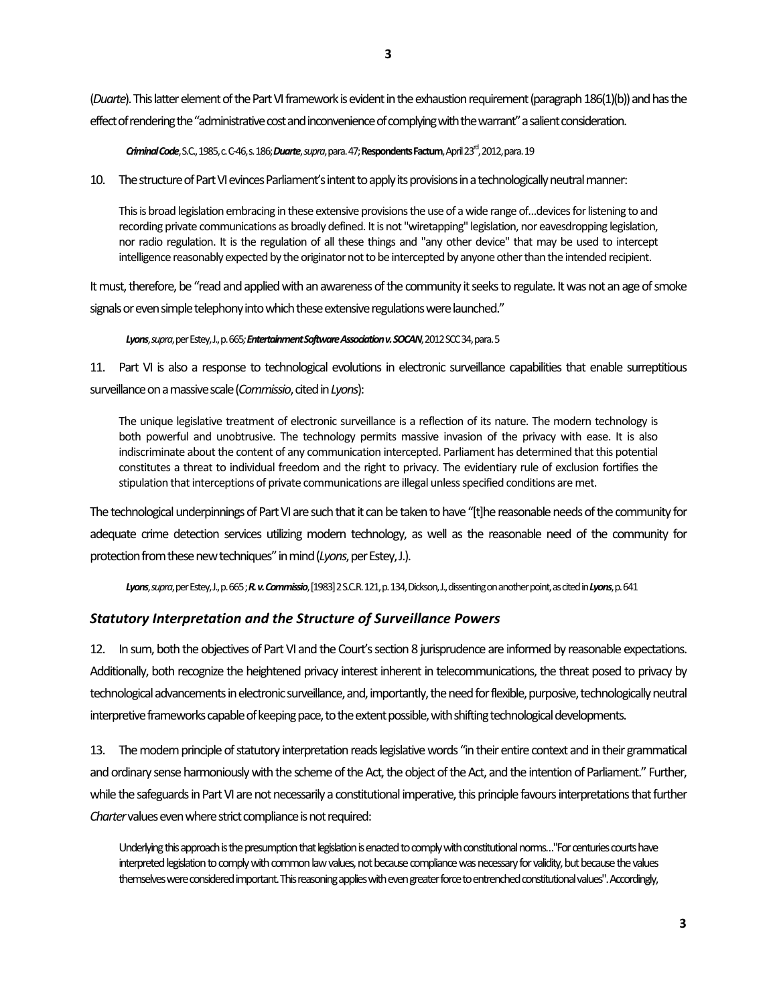(*Duarte*). This latter element of the Part VI framework is evident in the exhaustion requirement (paragraph 186(1)(b)) and has the effect of rendering the "administrative cost and inconvenience of complying with the warrant" a salient consideration.

*CriminalCode*,S.C.,1985,c.C‐46,s.186;*Duarte*,*supra*,para.47;**RespondentsFactum**,April23rd ,2012,para.19

10. The structure of Part VI evinces Parliament's intent to apply its provisions in a technologically neutral manner:

This is broad legislation embracing in these extensive provisions the use of a wide range of…devices for listening to and recording private communications as broadly defined. It is not "wiretapping" legislation, nor eavesdropping legislation, nor radio regulation. It is the regulation of all these things and "any other device" that may be used to intercept intelligence reasonably expected by the originator not to be intercepted by anyone other than the intended recipient.

It must, therefore, be "read and applied with an awareness of the community it seeks to regulate. It was not an age of smoke signals or even simple telephony into which these extensive regulations were launched."

*Lyons*,*supra*,perEstey,J.,p.665*;EntertainmentSoftwareAssociationv.SOCAN*,2012SCC34,para.5

11. Part VI is also a response to technological evolutions in electronic surveillance capabilities that enable surreptitious surveillance on a massive scale (*Commissio*, cited in *Lyons*):

The unique legislative treatment of electronic surveillance is a reflection of its nature. The modern technology is both powerful and unobtrusive. The technology permits massive invasion of the privacy with ease. It is also indiscriminate about the content of any communication intercepted. Parliament has determined that this potential constitutes a threat to individual freedom and the right to privacy. The evidentiary rule of exclusion fortifies the stipulation that interceptions of private communications are illegal unless specified conditions are met.

The technological underpinnings of Part VI are such that it can be taken to have "[t]he reasonable needs of the community for adequate crime detection services utilizing modern technology, as well as the reasonable need of the community for protection from these new techniques" in mind (Lyons, per Estey, J.).

*Lyons*,*supra*,perEstey,J.,p.665;*R.v.Commissio*,[1983]2S.C.R.121,p.134,Dickson,J.,dissentingonanotherpoint,ascitedin*Lyons*,p.641

## *Statutory Interpretation and the Structure of Surveillance Powers*

12. In sum, both the objectives of Part VI and the Court's section 8 jurisprudence are informed by reasonable expectations. Additionally, both recognize the heightened privacy interest inherent in telecommunications, the threat posed to privacy by technological advancements in electronic surveillance, and, importantly, the need for flexible, purposive, technologically neutral interpretive frameworks capable of keeping pace, to the extent possible, with shifting technological developments.

13. The modern principle of statutory interpretation reads legislative words "in their entire context and in their grammatical and ordinary sense harmoniously with the scheme of the Act, the object of the Act, and the intention of Parliament." Further, while the safeguards in Part VI are not necessarily a constitutional imperative, this principle favours interpretations that further *Charter* values even where strict compliance is not required:

Underlying this approach is the presumption that legislation is enacted to comply with constitutional norms..."For centuries courts have interpreted legislation to comply with common law values, not because compliance was necessary for validity, but because the values themselves were considered important. This reasoning applies with even greater force to entrenched constitutional values". Accordingly,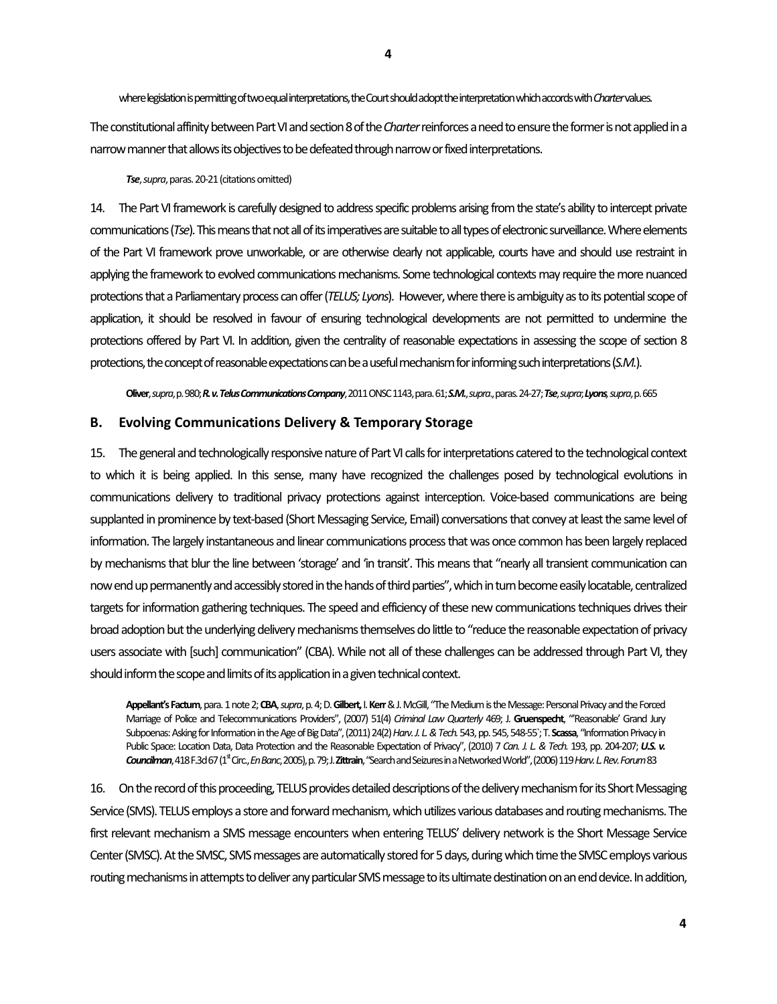## where legislation is permitting of two equal interpretations, the Court should adopt the interpretation which accords with Charter values.

The constitutional affinity between Part VI and section 8 of the *Charter* reinforces a need to ensure the former is not applied in a narrow manner that allows its objectives to be defeated through narrow or fixed interpretations.

#### Tse, supra, paras. 20-21 (citations omitted)

14. The Part VI framework is carefully designed to address specific problems arising from the state's ability to intercept private communications (*Tse*). This means that not all of its imperatives are suitable to all types of electronic surveillance. Where elements of the Part VI framework prove unworkable, or are otherwise clearly not applicable, courts have and should use restraint in applying the framework to evolved communications mechanisms. Some technological contexts may require the more nuanced protections that a Parliamentary process can offer (*TELUS; Lyons*). However, where there is ambiguity as to its potential scope of application, it should be resolved in favour of ensuring technological developments are not permitted to undermine the protections offered by Part VI. In addition, given the centrality of reasonable expectations in assessing the scope of section 8 protections, the concept of reasonable expectations can be a useful mechanism for informing such interpretations (S.M.).

**Oliver**,*supra*,p.980;*R.v.TelusCommunicationsCompany*,2011ONSC1143,para.61;*S.M.*,*supra*.,paras.24‐27;*Tse*,*supra*;*Lyons,supra*,p.665

## **B. Evolving Communications Delivery & Temporary Storage**

15. The general and technologically responsive nature of Part VI calls for interpretations catered to the technological context to which it is being applied. In this sense, many have recognized the challenges posed by technological evolutions in communications delivery to traditional privacy protections against interception. Voice‐based communications are being supplanted in prominence by text-based (Short Messaging Service, Email) conversations that convey at least the same level of information. The largely instantaneous and linear communications process that was once common has been largely replaced by mechanisms that blur the line between 'storage' and 'in transit'. This means that "nearly all transient communication can now end up permanently and accessibly stored in the hands of third parties", which in turn become easily locatable, centralized targets for information gathering techniques. The speed and efficiency of these new communications techniques drives their broad adoption but the underlying delivery mechanisms themselves do little to "reduce the reasonable expectation of privacy users associate with [such] communication" (CBA). While not all of these challenges can be addressed through Part VI, they should inform the scope and limits of its application in a given technical context.

**Appellant'sFactum**,para.1note2;**CBA**,*supra*,p.4;D.**Gilbert,**I.**Kerr**&J.McGill,"TheMediumistheMessage:PersonalPrivacyandtheForced Marriage of Police and Telecommunications Providers", (2007) 51(4) *Criminal Law Quarterly* 469; J. **Gruenspecht**, "'Reasonable' Grand Jury Subpoenas: Asking for Information in the Age of Big Data", (2011) 24(2) Harv. J. L. & Tech. 543, pp. 545, 548-55`; T. Scassa, "Information Privacy in Public Space: Location Data, Data Protection and the Reasonable Expectation of Privacy", (2010) 7 *Can. J. L. & Tech.* 193, pp. 204‐207; *U.S. v. Councilman*,418F.3d67(1stCirc.,*EnBanc*,2005),p.79;J.**Zittrain**,"SearchandSeizuresinaNetworkedWorld",(2006)119*Harv.L.Rev.Forum*83

16. On the record of this proceeding, TELUS provides detailed descriptions of the delivery mechanism for its Short Messaging Service (SMS). TELUS employs a store and forward mechanism, which utilizes various databases and routing mechanisms. The first relevant mechanism a SMS message encounters when entering TELUS' delivery network is the Short Message Service Center (SMSC). At the SMSC, SMS messages are automatically stored for 5 days, during which time the SMSC employs various routing mechanisms in attempts to deliver any particular SMS message to its ultimate destination on an end device. In addition,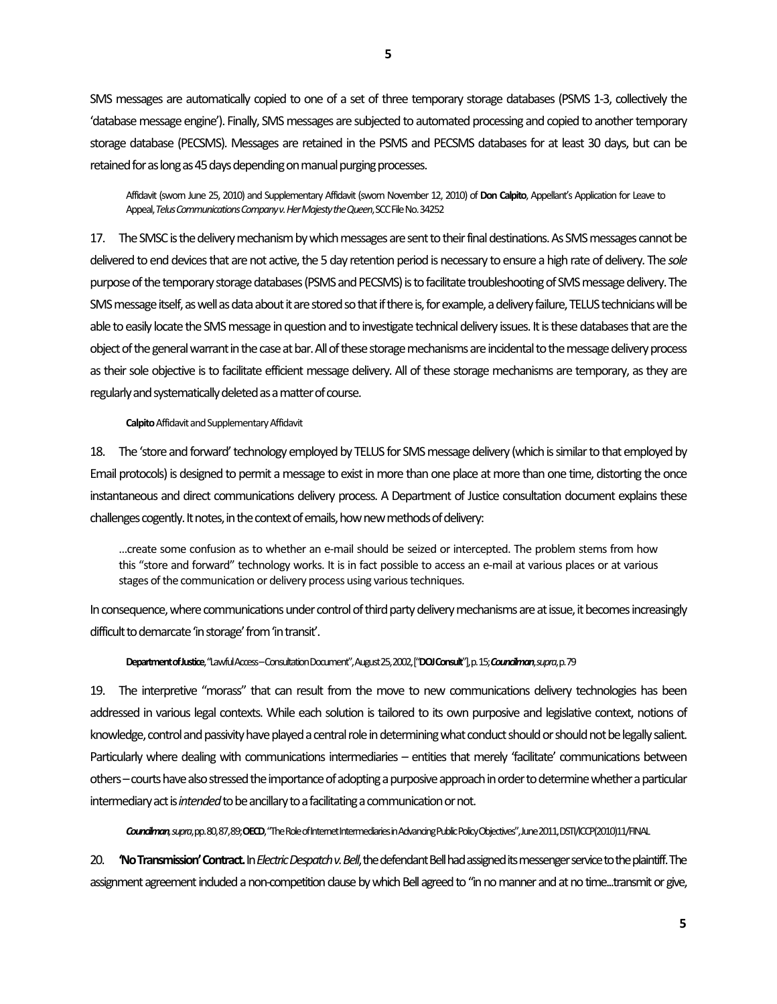SMS messages are automatically copied to one of a set of three temporary storage databases (PSMS 1‐3, collectively the 'database message engine'). Finally, SMS messages are subjected to automated processing and copied to another temporary storage database (PECSMS). Messages are retained in the PSMS and PECSMS databases for at least 30 days, but can be retained for as long as 45 days depending on manual purging processes.

Affidavit (sworn June 25, 2010) and Supplementary Affidavit (sworn November 12, 2010) of **Don Calpito**, Appellant's Application for Leave to Appeal,*TelusCommunicationsCompanyv.HerMajestytheQueen*,SCCFileNo.34252

17. The SMSC is the delivery mechanism by which messages are sent to their final destinations. As SMS messages cannot be delivered to end devices that are not active, the 5 day retention period is necessary to ensure a high rate of delivery. The *sole* purpose of the temporary storage databases (PSMS and PECSMS) is to facilitate troubleshooting of SMS message delivery. The SMS message itself, as well as data about it are stored so that if there is, for example, a delivery failure, TELUS technicians will be able to easily locate the SMS message in question and to investigate technical delivery issues. It is these databases that are the object of the general warrant in the case at bar. All of these storage mechanisms are incidental to the message delivery process as their sole objective is to facilitate efficient message delivery. All of these storage mechanisms are temporary, as they are regularly and systematically deleted as a matter of course.

#### **Calpito** Affidavit and Supplementary Affidavit

18. The 'store and forward' technology employed by TELUS for SMS message delivery (which is similar to that employed by Email protocols) is designed to permit a message to exist in more than one place at more than one time, distorting the once instantaneous and direct communications delivery process. A Department of Justice consultation document explains these challenges cogently. It notes, in the context of emails, how new methods of delivery:

…create some confusion as to whether an e‐mail should be seized or intercepted. The problem stems from how this "store and forward" technology works. It is in fact possible to access an e-mail at various places or at various stages of the communication or delivery process using various techniques.

In consequence, where communications under control of third party delivery mechanisms are at issue, it becomes increasingly difficult to demarcate 'in storage' from 'in transit'.

## **DepartmentofJustice**,"LawfulAccess–ConsultationDocument",August25,2002,["**DOJConsult**"],p.15;*Councilman*,*supra*,p.79

19. The interpretive "morass" that can result from the move to new communications delivery technologies has been addressed in various legal contexts. While each solution is tailored to its own purposive and legislative context, notions of knowledge, control and passivity have played a central role in determining what conduct should or should not be legally salient. Particularly where dealing with communications intermediaries – entities that merely 'facilitate' communications between others–courts have also stressed the importance of adopting a purposive approach in order to determine whether a particular intermediary act is *intended* to be ancillary to a facilitating a communication or not.

## *Councilman,supra*,pp.80,87,89;**OECD**,"TheRoleofInternetIntermediariesinAdvancingPublicPolicyObjectives",June2011,DSTI/ICCP(2010)11/FINAL

20. **'NoTransmission'Contract.**In*ElectricDespatchv.Bell*,thedefendantBellhadassigneditsmessengerservicetotheplaintiff.The assignment agreement induded a non-competition clause by which Bell agreed to "in no manner and at no time...transmit or give,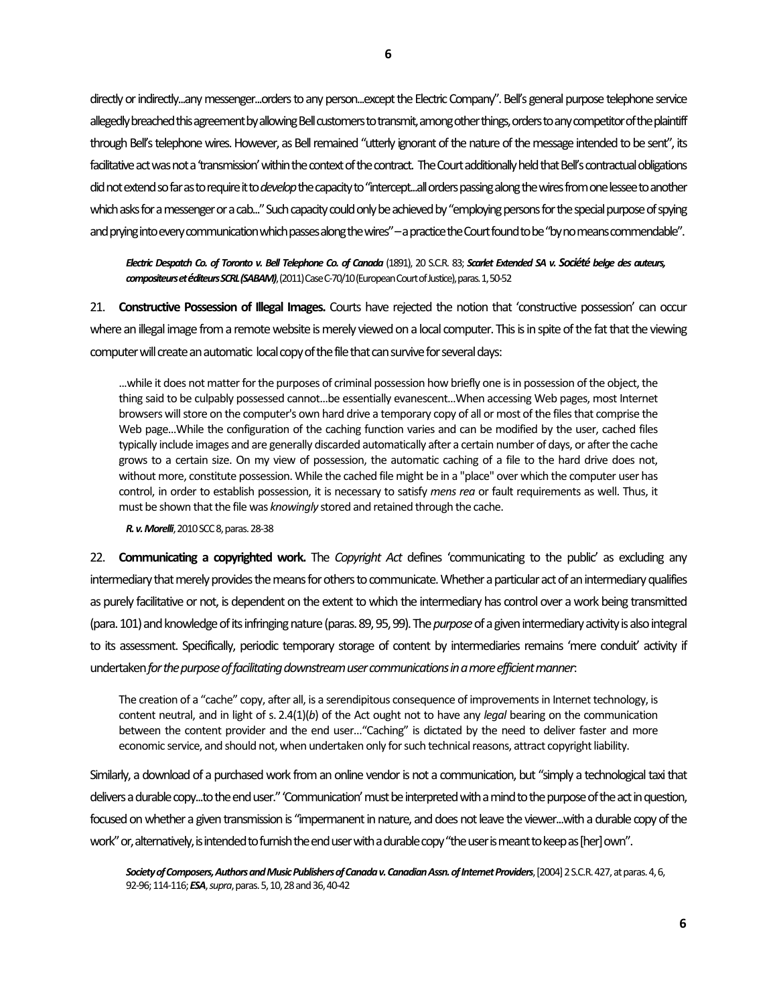directly or indirectly...any messenger...orders to any person...except the Electric Company". Bell's general purpose telephone service allegedly breached this agreement by allowing Bell customers to transmit, among other things, orders to any competitor of the plaintiff through Bell's telephone wires. However, as Bell remained "utterly ignorant of the nature of the message intended to be sent", its facilitative act was not a 'transmission' within the context of the contract. The Court additionally held that Bell's contractual obligations did not extend so far as to require it to *develop* the capacity to "intercept...all orders passing along the wires from one lessee to another which asks for a messenger or a cab..." Such capacity could only be achieved by "employing persons for the special purpose of spying and prying into every communication which passes along the wires" – a practice the Court found to be "by no means commendable".

Electric Despatch Co. of Toronto v. Bell Telephone Co. of Canada (1891), 20 S.C.R. 83; Scarlet Extended SA v. Société belge des auteurs, compositeurs et éditeurs SCRL (SABAM), (2011) Case C-70/10 (European Court of Justice), paras. 1, 50-52

21. **Constructive Possession of Illegal Images.** Courts have rejected the notion that 'constructive possession' can occur where an illegal image from a remote website is merely viewed on a local computer. This is in spite of the fat that the viewing computer will create an automatic local copy of the file that can survive for several days:

...while it does not matter for the purposes of criminal possession how briefly one is in possession of the object, the thing said to be culpably possessed cannot...be essentially evanescent...When accessing Web pages, most Internet browsers will store on the computer's own hard drive a temporary copy of all or most of the files that comprise the Web page...While the configuration of the caching function varies and can be modified by the user, cached files typically include images and are generally discarded automatically after a certain number of days, or after the cache grows to a certain size. On my view of possession, the automatic caching of a file to the hard drive does not, without more, constitute possession. While the cached file might be in a "place" over which the computer user has control, in order to establish possession, it is necessary to satisfy *mens rea* or fault requirements as well. Thus, it must be shown that the file was *knowingly* stored and retained through the cache.

*R.v.Morelli*,2010SCC8,paras.28‐38

22. **Communicating a copyrighted work.** The *Copyright Act* defines 'communicating to the public' as excluding any intermediary that merely provides the means for others to communicate. Whether a particular act of an intermediary qualifies as purely facilitative or not, is dependent on the extent to which the intermediary has control over a work being transmitted (para. 101) and knowledge of its infringing nature (paras. 89, 95, 99). The *purpose* of a given intermediary activity is also integral to its assessment. Specifically, periodic temporary storage of content by intermediaries remains 'mere conduit' activity if undertaken for the purpose of facilitating downstream user communications in a more efficient manner:

The creation of a "cache" copy, after all, is a serendipitous consequence of improvementsin Internet technology, is content neutral, and in light of s. 2.4(1)(*b*) of the Act ought not to have any *legal* bearing on the communication between the content provider and the end user…"Caching" is dictated by the need to deliver faster and more economic service, and should not, when undertaken only for such technical reasons, attract copyright liability.

Similarly, a download of a purchased work from an online vendor is not a communication, but "simply a technological taxi that delivers a durable copy...to the end user." 'Communication' must be interpreted with a mind to the purpose of the act in question, focused on whether a given transmission is "impermanent in nature, and does not leave the viewer...with a durable copy of the work" or, alternatively, is intended to furnish the end user with a durable copy "the user is meant to keep as [her] own".

Society of Composers, Authors and Music Publishers of Canada v. Canadian Assn. of Internet Providers, [2004] 2 S.C.R. 427, at paras. 4, 6, 92‐96;114‐116;*ESA*,*supra*,paras.5,10,28and36,40‐42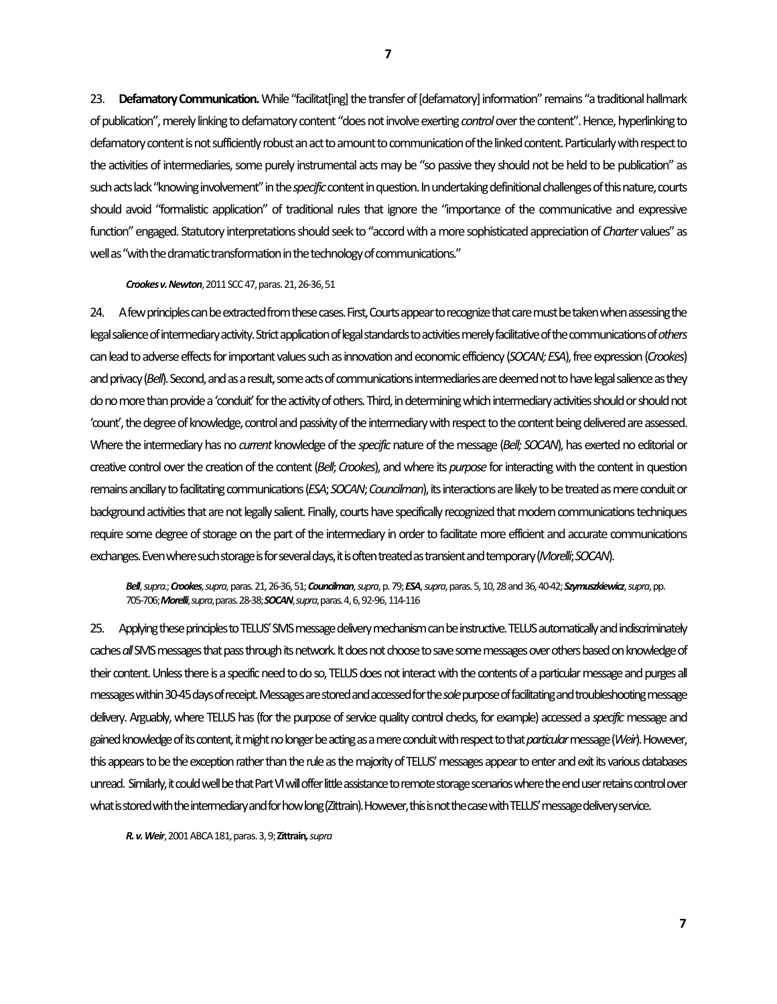23. **Defamatory Communication.** While "facilitat[ing] the transfer of [defamatory] information" remains "a traditional hallmark of publication", merely linking to defamatory content "does not involve exerting control over the content". Hence, hyperlinking to defamatory content is not sufficiently robust an act to amount to communication of the linked content. Particularly with respect to the activities of intermediaries, some purely instrumental acts may be "so passive they should not be held to be publication" as such acts lack "knowing involvement" in the *specific* content in question. In undertaking definitional challenges of this nature, courts should avoid "formalistic application" of traditional rules that ignore the "importance of the communicative and expressive function" engaged. Statutory interpretations should seek to "accord with a more sophisticated appreciation of Charter values" as well as "with the dramatic transformation in the technology of communications."

#### *Crookesv.Newton*,2011SCC47,paras.21,26‐36,51

24. Afew principles can be extracted from these cases. First, Courts appear to recognize that care must be taken when assessing the legal salience of intermediary activity. Strict application of legal standards to activities merely facilitative of the communications of others can lead to adverse effects for important values such as innovation and economic efficiency (*SOCAN; ESA*), free expression (*Crookes*) and privacy (Bell). Second, and as a result, some acts of communications intermediaries are deemed not to have legal salience as they do no more than provide a 'conduit' for the activity of others. Third, in determining which intermediary activities should or should not 'count', the degree of knowledge, control and passivity of the intermediary with respect to the content being delivered are assessed. Where the intermediary has no *current* knowledge of the *specific* nature of the message (*Bell; SOCAN*), has exerted no editorial or creative control over the creation of the content (*Bell; Crookes*), and where its *purpose* for interacting with the content in question remains ancillary to facilitating communications (*ESA*; SOCAN; Councilman), its interactions are likely to be treated as mere conduit or background activities that are not legally salient. Finally, courts have specifically recognized that modern communications techniques require some degree of storage on the part of the intermediary in order to facilitate more efficient and accurate communications exchanges.Evenwheresuchstorageisforseveraldays,itisoftentreatedastransientandtemporary(*Morelli*;*SOCAN*).

*Bell*,*supra*.;*Crookes*,*supra*,paras.21,26‐36,51;*Councilman*,*supra*,p.79;*ESA*,*supra*,paras.5,10,28and36,40‐42;*Szymuszkiewicz*,*supra*,pp. 705‐706;*Morelli*,*supra*,paras.28‐38;*SOCAN*,*supra*,paras.4,6,92‐96,114‐116

25. Applying these principles to TELUS' SMS message delivery mechanism can be instructive. TELUS automatically and indiscriminately caches all SMS messages that pass through its network. It does not choose to save some messages over others based on knowledge of their content. Unless there is a specific need to do so, TELUS does not interact with the contents of a particular message and purges all messageswithin30‐45daysofreceipt.Messagesarestoredandaccessedforthe*sole*purposeoffacilitatingandtroubleshootingmessage delivery. Arguably, where TELUS has (for the purpose of service quality control checks, for example) accessed a specific message and gained knowledge of its content, it might no longer be acting as a mere conduit with respect to that *particular* message (Weir). However, this appears to be the exception rather than the rule as the majority of TELUS' messages appear to enter and exit its various databases unread. Similarly, it could well be that Part VI will offer little assistance to remote storage scenarios where the end user retains control over what is stored with the intermediary and for how long (Zittrain). However, this is not the case with TELUS' message delivery service.

*R.v.Weir*,2001ABCA181,paras.3,9;**Zittrain***,supra*

**7**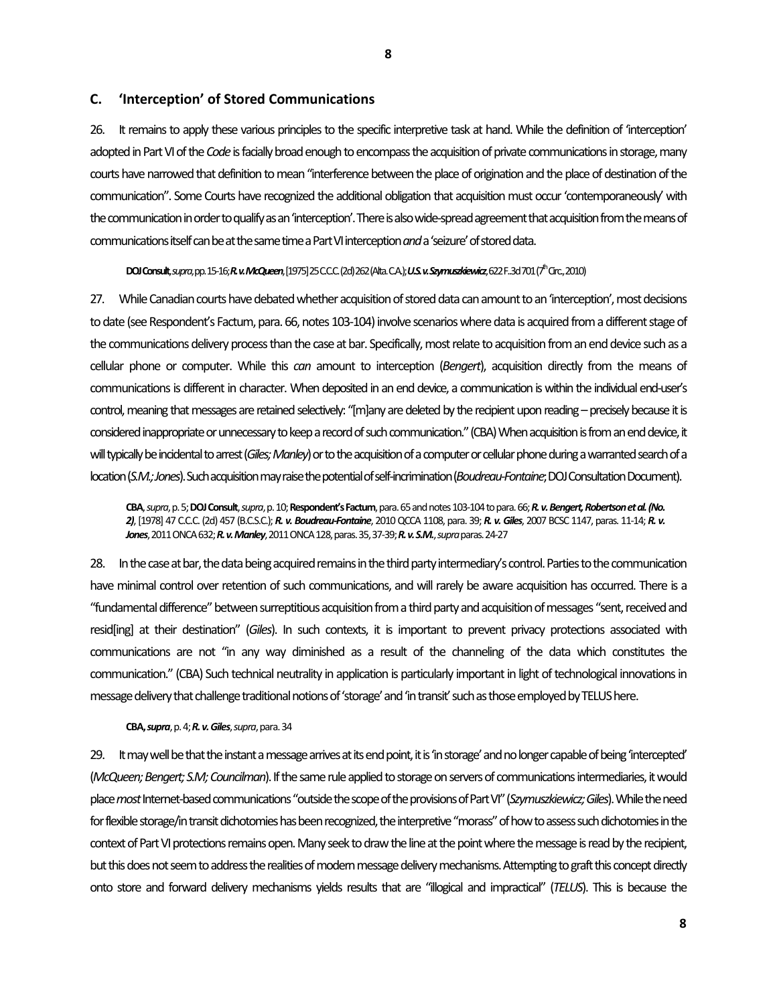## **C. 'Interception' of Stored Communications**

26. Itremainsto apply these various principlesto the specific interpretive task at hand. While the definition of 'interception' adopted in Part VI of the Code is facially broad enough to encompass the acquisition of private communications in storage, many courts have narrowed that definition to mean "interference between the place of origination and the place of destination of the communication". Some Courts have recognized the additional obligation that acquisition must occur 'contemporaneously' with the communication in order to qualify as an 'interception'. There is also wide-spread agreement that acquisition from the means of communications itself can be at the same time a Part VI interception *and* a 'seizure' of stored data.

**DOJConsult**,*supra*,pp.15-16;*R.v.McQueen*,[1975]25CCC.(2d)262(Alta.CA);*U.S.v.Szymuszkiewicz*,622F..3d701(7<sup>th</sup>Circ.,2010)

27. While Canadian courts have debated whether acquisition of stored data can amount to an 'interception', most decisions to date (see Respondent's Factum, para. 66, notes 103-104) involve scenarios where data is acquired from a different stage of the communications delivery process than the case at bar. Specifically, most relate to acquisition from an end device such as a cellular phone or computer. While this *can* amount to interception (*Bengert*), acquisition directly from the means of communications is different in character. When deposited in an end device, a communication is within the individual end-user's control, meaning that messages are retained selectively: "[m]any are deleted by the recipient upon reading – precisely because it is considered inappropriate or unnecessary to keep a record of such communication." (CBA) When acquisition is from an end device, it will typically be incidental to arrest (*Giles; Manley*) or to the acquisition of a computer or cellular phone during a warranted search of a location(*S.M.;Jones*).Suchacquisitionmayraisethepotentialofself‐incrimination(*Boudreau‐Fontaine*;DOJConsultationDocument).

**CBA**,*supra*,p.5;**DOJConsult**,*supra*,p.10;**Respondent'sFactum**,para.65andnotes103‐104topara.66;*R.v.Bengert,Robertsonetal.(No. 2)*,[1978] 47 C.C.C. (2d) 457 (B.C.S.C.); *R. v. Boudreau‐Fontaine*, 2010QCCA 1108, para. 39; *R. v.Giles*, 2007 BCSC 1147, paras. 11‐14; *R. v. Jones*,2011ONCA632;*R.v.Manley*,2011ONCA128,paras.35,37‐39;*R.v.S.M.*,*supra*paras.24‐27

28. In the case at bar, the data being acquired remains in the third party intermediary's control. Parties to the communication have minimal control over retention of such communications, and will rarely be aware acquisition has occurred. There is a "fundamental difference" between surreptitious acquisition from a third party and acquisition of messages "sent, received and resid[ing] at their destination" (*Giles*). In such contexts, it is important to prevent privacy protections associated with communications are not "in any way diminished as a result of the channeling of the data which constitutes the communication." (CBA) Such technical neutrality in application is particularly important in light of technological innovations in message delivery that challenge traditional notions of 'storage' and 'in transit' such as those employed by TELUS here.

**CBA,***supra*,p.4;*R.v.Giles*,*supra*,para.34

29. Itmaywellbethattheinstantamessagearrivesatitsendpoint,itis'instorage'andnolongercapableofbeing'intercepted' (*McQueen; Bengert; S.M; Councilman*). If the same rule applied to storage on servers of communications intermediaries, it would place*most*Internet‐basedcommunications"outsidethescopeoftheprovisionsofPartVI"(*Szymuszkiewicz;Giles*).Whiletheneed for flexible storage/in transit dichotomies has been recognized, the interpretive "morass" of how to assess such dichotomies in the context of Part VI protections remains open. Many seek to draw the line at the point where the message is read by the recipient, but this does not seem to address the realities of modern message delivery mechanisms. Attempting to graft this concept directly onto store and forward delivery mechanisms yields results that are "illogical and impractical" (*TELUS*). This is because the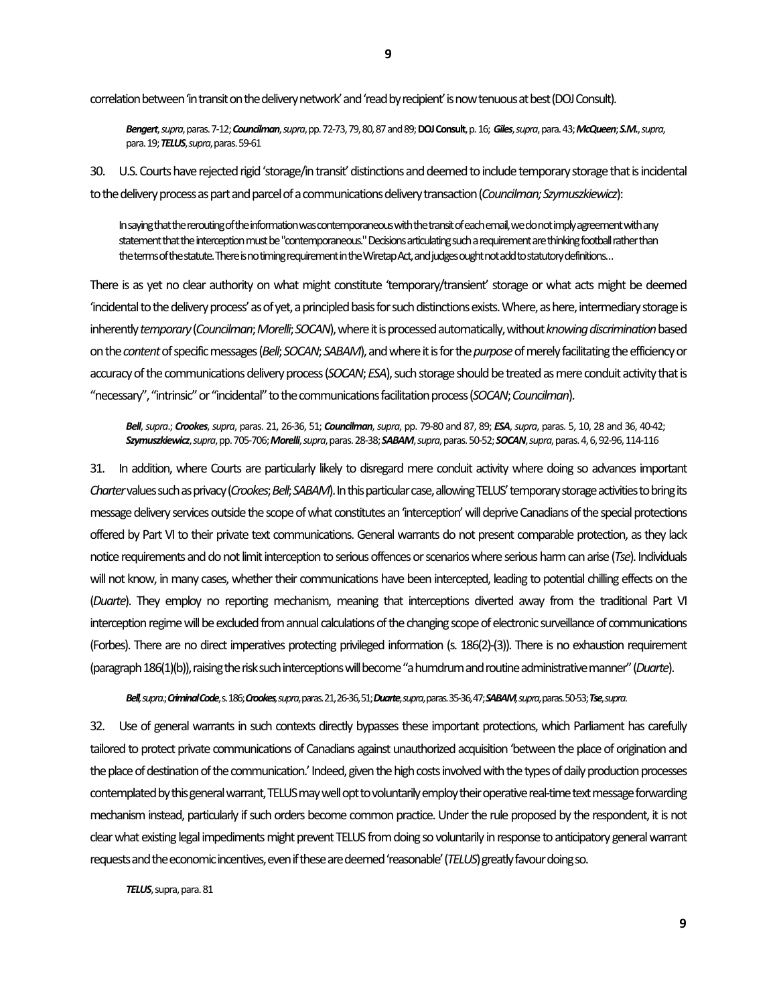**9**

correlation between 'in transit on the delivery network' and 'read by recipient' is now tenuous at best (DOJ Consult).

*Bengert*,*supra*,paras.7‐12;*Councilman*,*supra*,pp.72‐73,79,80,87and89;**DOJConsult**,p.16; *Giles*,*supra*,para.43;*McQueen*;*S.M.*,*supra*, para.19;*TELUS*,*supra*,paras.59‐61

30. U.S.Courtshaverejectedrigid'storage/intransit'distinctionsanddeemedtoincludetemporarystoragethatisincidental to the delivery process as part and parcel of a communications delivery transaction (*Councilman; Szymuszkiewicz*):

Insayingthatthereroutingoftheinformationwascontemporaneouswiththetransitofeachemail,wedonotimplyagreementwithany statement that the interception must be "contemporaneous." Decisions articulating such a requirement are thinking football rather than thetermsofthestatute.ThereisnotimingrequirementintheWiretapAct,andjudgesoughtnotaddtostatutorydefinitions…

There is as yet no clear authority on what might constitute 'temporary/transient' storage or what acts might be deemed 'incidental to the delivery process' as of yet, a principled basis for such distinctions exists. Where, as here, intermediary storage is inherently temporary (Councilman; Morelli; SOCAN), where it is processed automatically, without knowing discrimination based onthe*content*ofspecificmessages(*Bell*;*SOCAN*;*SABAM*),andwhereitisforthe*purpose*ofmerelyfacilitatingtheefficiencyor accuracy of the communications delivery process (*SOCAN*; *ESA*), such storage should be treated as mere conduit activity that is "necessary","intrinsic"or"incidental"tothecommunicationsfacilitationprocess(*SOCAN*;*Councilman*).

*Bell*,*supra*.; *Crookes*,*supra*, paras. 21, 26‐36, 51; *Councilman*,*supra*, pp. 79‐80 and 87, 89; *ESA*,*supra*, paras. 5, 10, 28 and 36, 40‐42; *Szymuszkiewicz*,*supra*,pp.705‐706;*Morelli*,*supra*,paras.28‐38;*SABAM*,*supra*,paras.50‐52;*SOCAN*,*supra*,paras.4,6,92‐96,114‐116

31. In addition, where Courts are particularly likely to disregard mere conduit activity where doing so advances important *Charter* values such as privacy (*Crookes; Bell; SABAM*). In this particular case, allowing TELUS' temporary storage activities to bring its message delivery services outside the scope of what constitutes an 'interception' will deprive Canadians of the special protections offered by Part VI to their private text communications. General warrants do not present comparable protection, asthey lack notice requirements and do not limit interception to serious offences or scenarios where serious harm can arise (Tse). Individuals will not know, in many cases, whether their communications have been intercepted, leading to potential chilling effects on the (*Duarte*). They employ no reporting mechanism, meaning that interceptions diverted away from the traditional Part VI interception regime will be excluded from annual calculations of the changing scope of electronic surveillance of communications (Forbes). There are no direct imperatives protecting privileged information (s. 186(2)‐(3)). There is no exhaustion requirement (paragraph 186(1)(b)), raising the risk such interceptions will become "a humdrum and routine administrative manner" (Duarte).

*Bell,supra*.;*CriminalCode*,s.186;*Crookes,supra*,paras.21,26‐36,51;*Duarte*,*supra*,paras.35‐36,47;*SABAM,supra*,paras.50‐53;*Tse*,*supra*.

32. Use of general warrants in such contexts directly bypasses these important protections, which Parliament has carefully tailored to protect private communications of Canadians against unauthorized acquisition 'between the place of origination and the place of destination of the communication.' Indeed, given the high costs involved with the types of daily production processes contemplated by this general warrant, TELUS may well opt to voluntarily employ their operative real-time text message forwarding mechanism instead, particularly if such orders become common practice. Under the rule proposed by the respondent, it is not clear what existing legal impediments might prevent TELUS from doing so voluntarily in response to anticipatory general warrant requests and the economic incentives, even if these are deemed 'reasonable' (*TELUS*) greatly favour doing so.

**TELUS**, supra, para. 81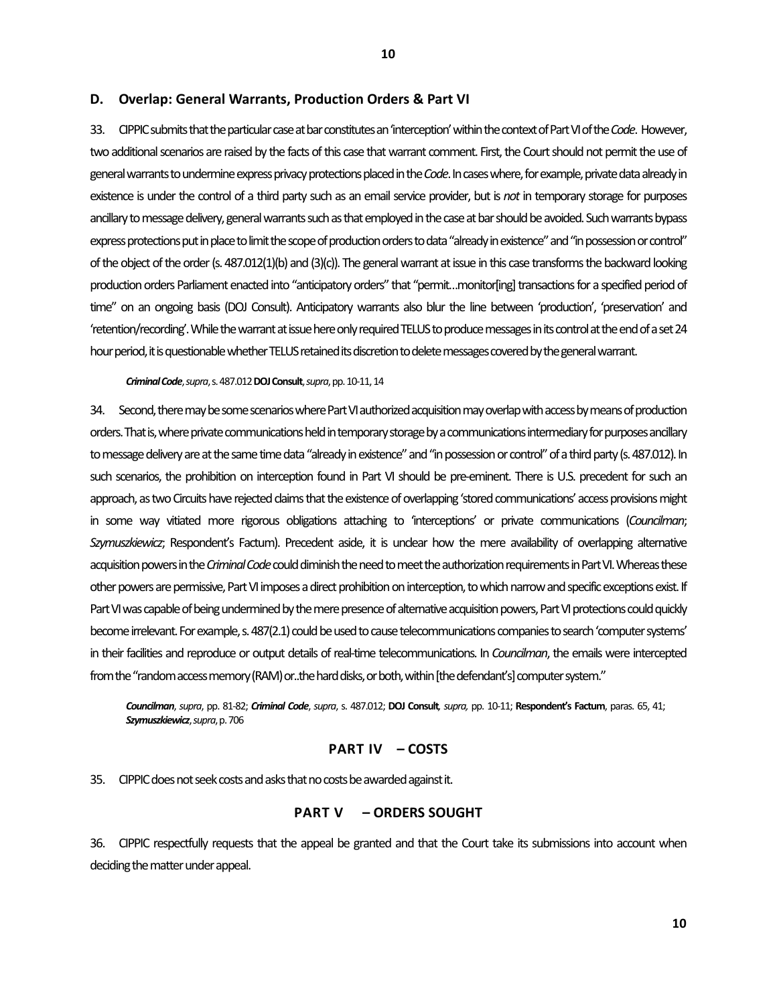## **D. Overlap: General Warrants, Production Orders & Part VI**

33. CIPPICsubmitsthattheparticularcaseatbarconstitutesan'interception'withinthecontextofPartVIofthe*Code*. However, two additional scenarios are raised by the facts of this case that warrant comment. First, the Court should not permit the use of general warrants to undermine express privacy protections placed in the Code. In cases where, for example, private data already in existence is under the control of a third party such as an emailservice provider, but is *not* in temporary storage for purposes ancillary to message delivery, general warrants such as that employed in the case at bar should be avoided. Such warrants bypass express protections put in place to limit the scope of production orders to data "already in existence" and "in possession or control" of the object of the order (s. 487.012(1)(b) and (3)(c)). The general warrant at issue in this case transforms the backward looking production orders Parliament enacted into "anticipatory orders" that "permit...monitor[ing] transactions for a specified period of time" on an ongoing basis (DOJ Consult). Anticipatory warrants also blur the line between 'production', 'preservation' and 'retention/recording'. While the warrant at issue here only required TELUS to produce messages in its control at the end of a set 24 hour period, it is questionable whether TELUS retained its discretion to delete messages covered by the general warrant.

*CriminalCode*,*supra*,s.487.012**DOJConsult**,*supra*,pp.10‐11,14

34. Second, there may be some scenarios where Part VI authorized acquisition may overlap with access by means of production orders. That is, where private communications held in temporary storage by a communications intermediary for purposes ancillary to message delivery are at the same time data "already in existence" and "in possession or control" of a third party (s. 487.012). In such scenarios, the prohibition on interception found in Part VI should be pre-eminent. There is U.S. precedent for such an approach, as two Circuits have rejected claims that the existence of overlapping 'stored communications' access provisions might in some way vitiated more rigorous obligations attaching to 'interceptions' or private communications (*Councilman*; *Szymuszkiewicz*; Respondent's Factum). Precedent aside, it is unclear how the mere availability of overlapping alternative acquisition powers in the Criminal Code could diminish the need to meet the authorization requirements in Part VI. Whereas these other powers are permissive, Part VI imposes a direct prohibition on interception, to which narrow and specific exceptions exist. If Part VI was capable of being undermined by the mere presence of alternative acquisition powers, Part VI protections could quickly become irrelevant. For example, s. 487(2.1) could be used to cause telecommunications companies to search 'computer systems' in their facilities and reproduce or output details of real-time telecommunications. In *Councilman*, the emails were intercepted from the "random access memory (RAM) or..the hard disks, or both, within [the defendant's] computer system."

*Councilman*, *supra*, pp. 81‐82; *Criminal Code*, *supra*, s. 487.012; **DOJ Consult***, supra,* pp. 10‐11; **Respondent's Factum**, paras. 65, 41; *Szymuszkiewicz*,*supra*,p.706

## **PART IV – COSTS**

35. CIPPIC does not seek costs and asks that no costs be awarded against it.

## **PART V – ORDERS SOUGHT**

36. CIPPIC respectfully requests that the appeal be granted and that the Court take its submissions into account when deciding the matter under appeal.

**10**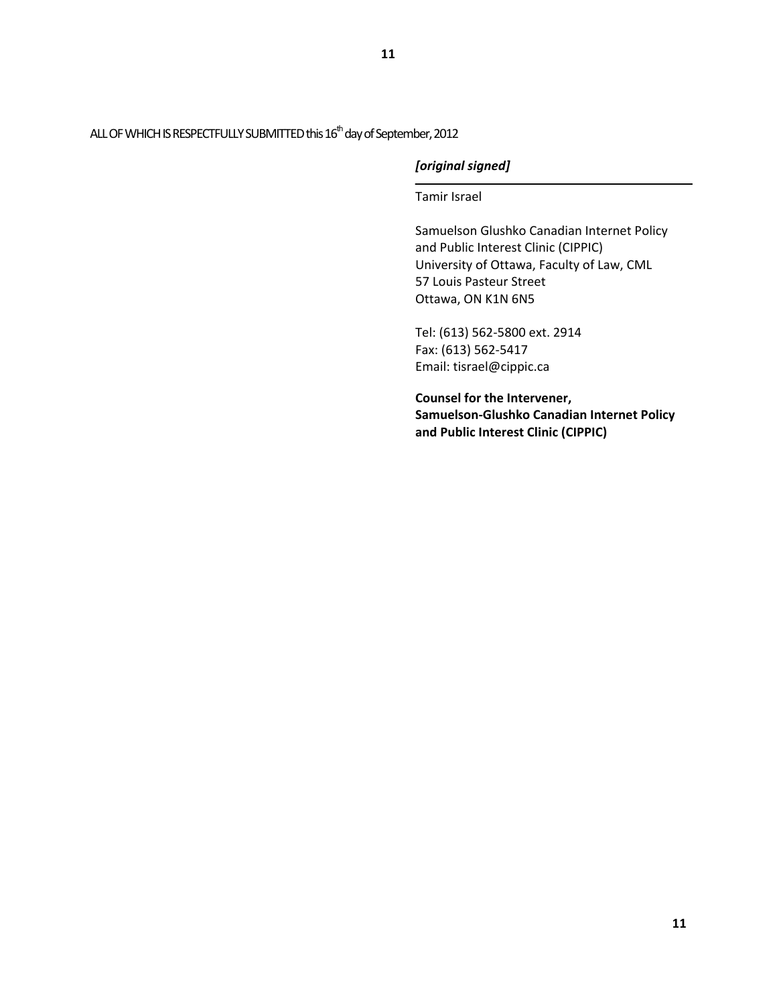ALL OF WHICH IS RESPECTFULLY SUBMITTED this 16<sup>th</sup> day of September, 2012

# *[original signed]*

## Tamir Israel

Samuelson Glushko Canadian Internet Policy and Public Interest Clinic (CIPPIC) University of Ottawa, Faculty of Law, CML 57 Louis Pasteur Street Ottawa, ON K1N 6N5

Tel: (613) 562‐5800 ext. 2914 Fax: (613) 562‐5417 Email: tisrael@cippic.ca

**Counsel for the Intervener, Samuelson‐Glushko Canadian Internet Policy and Public Interest Clinic (CIPPIC)**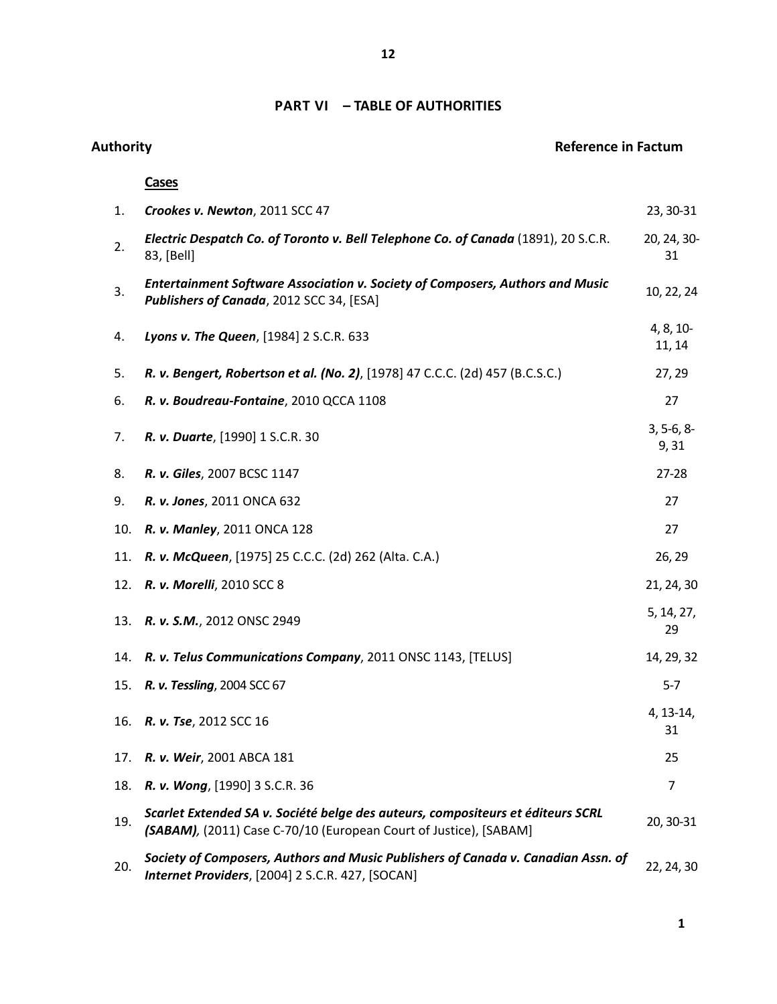## **PART VI – TABLE OF AUTHORITIES**

# **Authority Reference in Factum Cases** 1. *Crookes v. Newton*, 2011 SCC 47 23, 30‐31 2. *Electric Despatch Co. of Toronto v. Bell Telephone Co. of Canada* (1891), <sup>20</sup> S.C.R. 83, [Bell] 20, 24, 30‐ 31 3. *Entertainment Software Association v. Society of Composers, Authors and Music Publishers of Canada*, 2012 SCC 34, [ESA]<br>**Publishers of Canada**, 2012 SCC 34, [ESA] 4. *Lyons v. The Queen*, [1984] <sup>2</sup> S.C.R. <sup>633</sup> 4, 8, <sup>10</sup>‐ 11, 14 5. *R. v. Bengert, Robertson et al. (No. 2)*, [1978] 47 C.C.C. (2d) 457 (B.C.S.C.) 27, 29 6. *R. v. Boudreau‐Fontaine*, 2010 QCCA 1108 27 **7. R.** *v.* Duarte, [1990] 1 S.C.R. 30 3, 5 -6, 8 - 3, 5 -6, 8 - 3, 5 -6, 8 - 3, 5 -6, 8 9, 31 8. *R. v. Giles*, 2007 BCSC 1147 27‐28 9. *R. v. Jones*, 2011 ONCA 632 27 10. *R. v. Manley*, 2011 ONCA 128 27 11. *R. v. McQueen*, [1975] 25 C.C.C. (2d) 262 (Alta. C.A.) 26, 29 12. *R. v. Morelli*, 2010 SCC 8 21, 24, 30 13. *R.**v.**S.M.***, 2012 ONSC 2949** 5, 14, 27, 29 14. *R. v. Telus Communications Company*, 2011 ONSC 1143, [TELUS] 14, 29, 32 15. **R. v. Tessling**, 2004 SCC 67 **5**–7 16. **R. v. Tse**, 2012 SCC 16 4, 13–14, 31 17. *R. v. Weir*, 2001 ABCA 181 25 18. *R. v. Wong*, [1990] 3 S.C.R. 36 7 19. *Scarlet Extended SA v. Société belge des auteurs, compositeurs et éditeurs SCRL (SABAM),* (2011) Case C-70/10 (European Court of Justice), [SABAM] 20, 30-31 20. *Society of Composers, Authors and Music Publishers of Canada v. Canadian Assn. of Internet Providers*, [2004] <sup>2</sup> S.C.R. 427, [SOCAN] 22, 24, <sup>30</sup>

**1**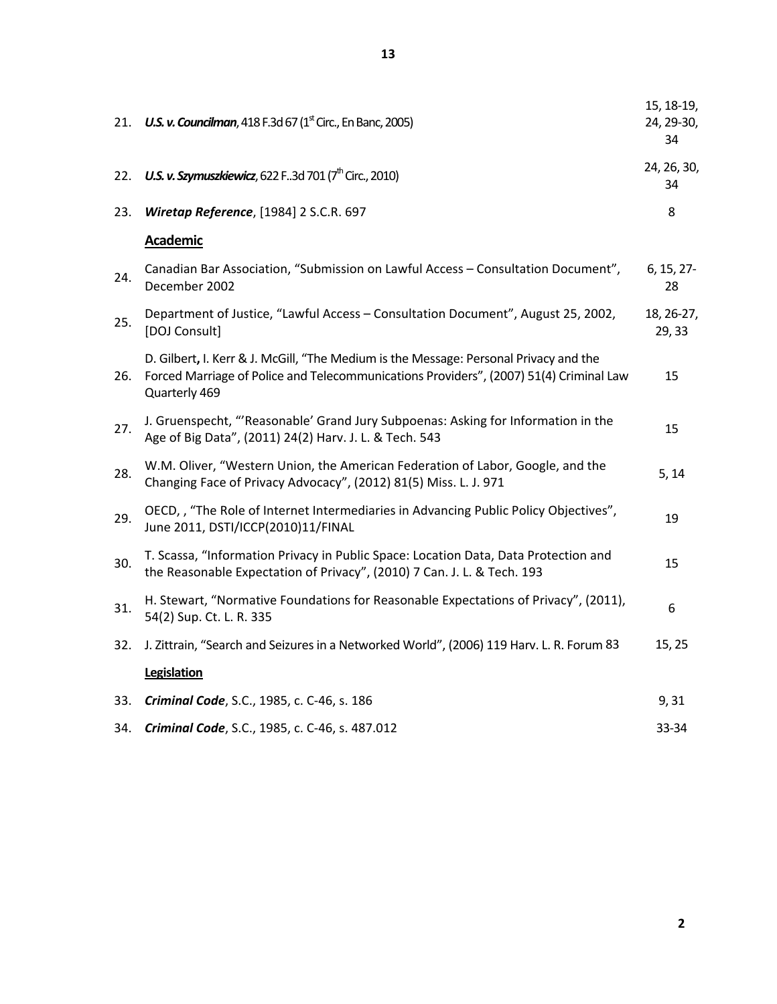| 21. | U.S. v. Councilman, 418 F.3d 67 ( $1st$ Circ., En Banc, 2005)                                                                                                                                    | 15, 18-19,<br>24, 29-30,<br>34 |
|-----|--------------------------------------------------------------------------------------------------------------------------------------------------------------------------------------------------|--------------------------------|
| 22. | <b>U.S. v. Szymuszkiewicz</b> , 622 F3d 701 ( $7th$ Circ., 2010)                                                                                                                                 | 24, 26, 30,<br>34              |
| 23. | Wiretap Reference, [1984] 2 S.C.R. 697                                                                                                                                                           | 8                              |
|     | <b>Academic</b>                                                                                                                                                                                  |                                |
| 24. | Canadian Bar Association, "Submission on Lawful Access - Consultation Document",<br>December 2002                                                                                                | 6, 15, 27-<br>28               |
| 25. | Department of Justice, "Lawful Access - Consultation Document", August 25, 2002,<br>[DOJ Consult]                                                                                                | 18, 26-27,<br>29, 33           |
| 26. | D. Gilbert, I. Kerr & J. McGill, "The Medium is the Message: Personal Privacy and the<br>Forced Marriage of Police and Telecommunications Providers", (2007) 51(4) Criminal Law<br>Quarterly 469 | 15                             |
| 27. | J. Gruenspecht, "'Reasonable' Grand Jury Subpoenas: Asking for Information in the<br>Age of Big Data", (2011) 24(2) Harv. J. L. & Tech. 543                                                      | 15                             |
| 28. | W.M. Oliver, "Western Union, the American Federation of Labor, Google, and the<br>Changing Face of Privacy Advocacy", (2012) 81(5) Miss. L. J. 971                                               | 5, 14                          |
| 29. | OECD,, "The Role of Internet Intermediaries in Advancing Public Policy Objectives",<br>June 2011, DSTI/ICCP(2010)11/FINAL                                                                        | 19                             |
| 30. | T. Scassa, "Information Privacy in Public Space: Location Data, Data Protection and<br>the Reasonable Expectation of Privacy", (2010) 7 Can. J. L. & Tech. 193                                   | 15                             |
| 31. | H. Stewart, "Normative Foundations for Reasonable Expectations of Privacy", (2011),<br>54(2) Sup. Ct. L. R. 335                                                                                  | 6                              |
| 32. | J. Zittrain, "Search and Seizures in a Networked World", (2006) 119 Harv. L. R. Forum 83                                                                                                         | 15, 25                         |
|     | <b>Legislation</b>                                                                                                                                                                               |                                |
| 33. | Criminal Code, S.C., 1985, c. C-46, s. 186                                                                                                                                                       | 9,31                           |
| 34. | Criminal Code, S.C., 1985, c. C-46, s. 487.012                                                                                                                                                   | 33-34                          |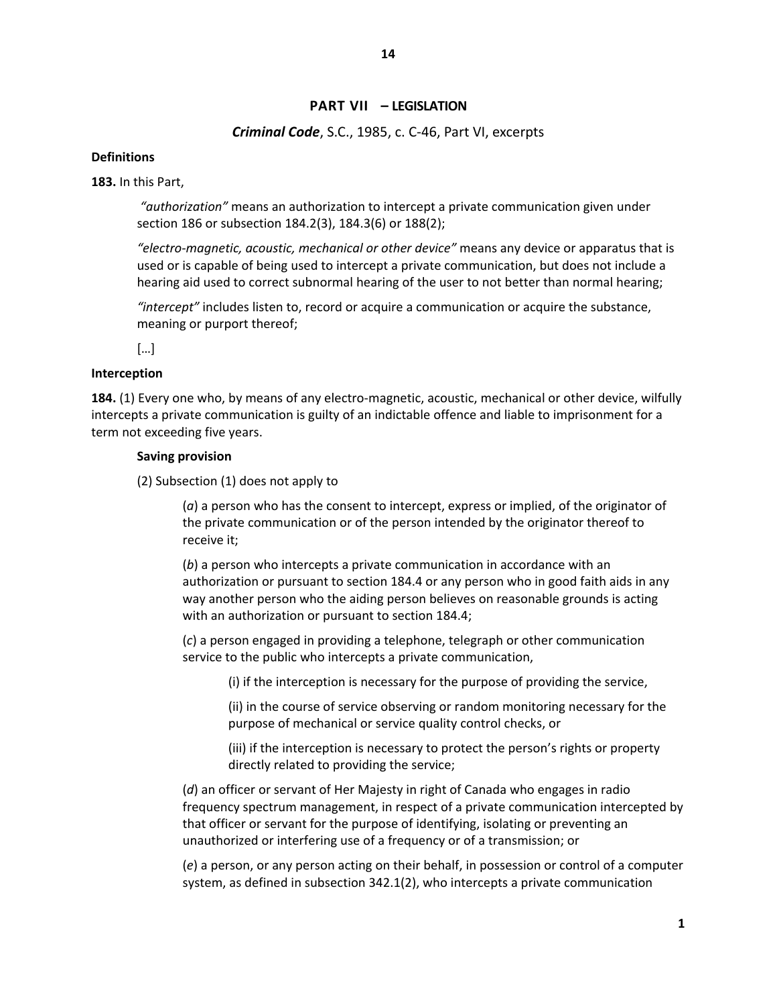## *Criminal Code*, S.C., 1985, c. C‐46, Part VI, excerpts

## **Definitions**

**183.** In this Part,

*"authorization"* means an authorization to intercept a private communication given under section 186 or subsection 184.2(3), 184.3(6) or 188(2);

*"electro‐magnetic, acoustic, mechanical or other device"* means any device or apparatus that is used or is capable of being used to intercept a private communication, but does not include a hearing aid used to correct subnormal hearing of the user to not better than normal hearing;

*"intercept"* includes listen to, record or acquire a communication or acquire the substance, meaning or purport thereof;

[…]

## **Interception**

**184.** (1) Every one who, by means of any electro-magnetic, acoustic, mechanical or other device, wilfully intercepts a private communication is guilty of an indictable offence and liable to imprisonment for a term not exceeding five years.

## **Saving provision**

(2) Subsection (1) does not apply to

(*a*) a person who has the consent to intercept, express or implied, of the originator of the private communication or of the person intended by the originator thereof to receive it;

(*b*) a person who intercepts a private communication in accordance with an authorization or pursuant to section 184.4 or any person who in good faith aids in any way another person who the aiding person believes on reasonable grounds is acting with an authorization or pursuant to section 184.4;

(*c*) a person engaged in providing a telephone, telegraph or other communication service to the public who intercepts a private communication,

(i) if the interception is necessary for the purpose of providing the service,

(ii) in the course of service observing or random monitoring necessary for the purpose of mechanical or service quality control checks, or

(iii) if the interception is necessary to protect the person's rights or property directly related to providing the service;

(*d*) an officer or servant of Her Majesty in right of Canada who engages in radio frequency spectrum management, in respect of a private communication intercepted by that officer or servant for the purpose of identifying, isolating or preventing an unauthorized or interfering use of a frequency or of a transmission; or

(*e*) a person, or any person acting on their behalf, in possession or control of a computer system, as defined in subsection 342.1(2), who intercepts a private communication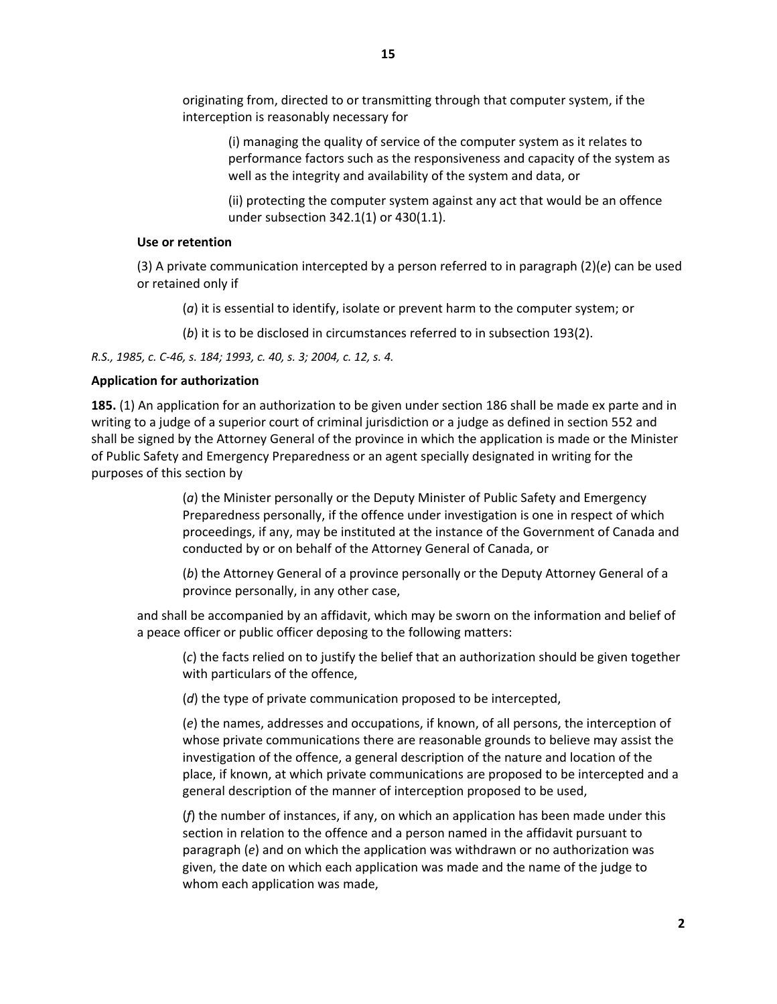originating from, directed to or transmitting through that computer system, if the interception is reasonably necessary for

> (i) managing the quality of service of the computer system as it relates to performance factors such as the responsiveness and capacity of the system as well as the integrity and availability of the system and data, or

(ii) protecting the computer system against any act that would be an offence under subsection 342.1(1) or 430(1.1).

## **Use or retention**

(3) A private communication intercepted by a person referred to in paragraph (2)(*e*) can be used or retained only if

(*a*) it is essential to identify, isolate or prevent harm to the computer system; or

(*b*) it is to be disclosed in circumstances referred to in subsection 193(2).

*R.S., 1985, c. C‐46, s. 184; 1993, c. 40, s. 3; 2004, c. 12, s. 4.*

## **Application for authorization**

**185.** (1) An application for an authorization to be given under section 186 shall be made ex parte and in writing to a judge of a superior court of criminal jurisdiction or a judge as defined in section 552 and shall be signed by the Attorney General of the province in which the application is made or the Minister of Public Safety and Emergency Preparedness or an agent specially designated in writing for the purposes of this section by

> (*a*) the Minister personally or the Deputy Minister of Public Safety and Emergency Preparedness personally, if the offence under investigation is one in respect of which proceedings, if any, may be instituted at the instance of the Government of Canada and conducted by or on behalf of the Attorney General of Canada, or

(*b*) the Attorney General of a province personally or the Deputy Attorney General of a province personally, in any other case,

and shall be accompanied by an affidavit, which may be sworn on the information and belief of a peace officer or public officer deposing to the following matters:

(*c*) the facts relied on to justify the belief that an authorization should be given together with particulars of the offence,

(*d*) the type of private communication proposed to be intercepted,

(*e*) the names, addresses and occupations, if known, of all persons, the interception of whose private communications there are reasonable grounds to believe may assist the investigation of the offence, a general description of the nature and location of the place, if known, at which private communications are proposed to be intercepted and a general description of the manner of interception proposed to be used,

(*f*) the number of instances, if any, on which an application has been made under this section in relation to the offence and a person named in the affidavit pursuant to paragraph (*e*) and on which the application was withdrawn or no authorization was given, the date on which each application was made and the name of the judge to whom each application was made,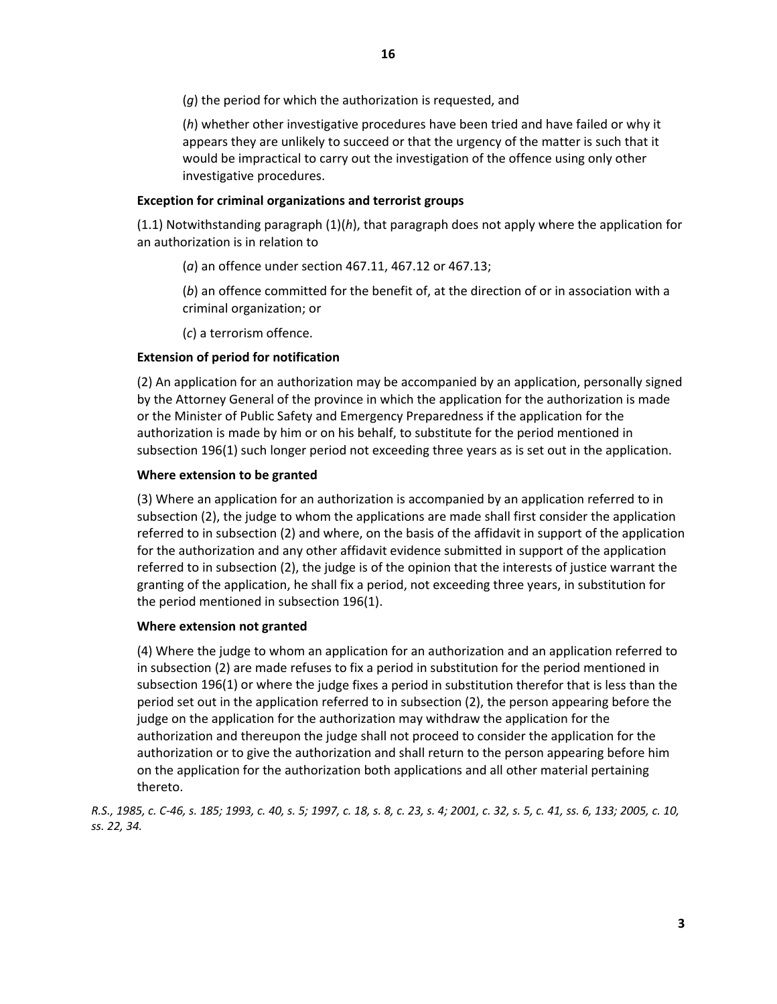(*g*) the period for which the authorization is requested, and

(*h*) whether other investigative procedures have been tried and have failed or why it appears they are unlikely to succeed or that the urgency of the matter is such that it would be impractical to carry out the investigation of the offence using only other investigative procedures.

## **Exception for criminal organizations and terrorist groups**

(1.1) Notwithstanding paragraph (1)(*h*), that paragraph does not apply where the application for an authorization is in relation to

(*a*) an offence under section 467.11, 467.12 or 467.13;

(*b*) an offence committed for the benefit of, at the direction of or in association with a criminal organization; or

(*c*) a terrorism offence.

## **Extension of period for notification**

(2) An application for an authorization may be accompanied by an application, personally signed by the Attorney General of the province in which the application for the authorization is made or the Minister of Public Safety and Emergency Preparedness if the application for the authorization is made by him or on his behalf, to substitute for the period mentioned in subsection 196(1) such longer period not exceeding three years as is set out in the application.

## **Where extension to be granted**

(3) Where an application for an authorization is accompanied by an application referred to in subsection (2), the judge to whom the applications are made shall first consider the application referred to in subsection (2) and where, on the basis of the affidavit in support of the application for the authorization and any other affidavit evidence submitted in support of the application referred to in subsection (2), the judge is of the opinion that the interests of justice warrant the granting of the application, he shall fix a period, not exceeding three years, in substitution for the period mentioned in subsection 196(1).

## **Where extension not granted**

(4) Where the judge to whom an application for an authorization and an application referred to in subsection (2) are made refuses to fix a period in substitution for the period mentioned in subsection 196(1) or where the judge fixes a period in substitution therefor that is less than the period set out in the application referred to in subsection (2), the person appearing before the judge on the application for the authorization may withdraw the application for the authorization and thereupon the judge shall not proceed to consider the application for the authorization or to give the authorization and shall return to the person appearing before him on the application for the authorization both applications and all other material pertaining thereto.

R.S., 1985, c. C-46, s. 185; 1993, c. 40, s. 5; 1997, c. 18, s. 8, c. 23, s. 4; 2001, c. 32, s. 5, c. 41, ss. 6, 133; 2005, c. 10, *ss. 22, 34.*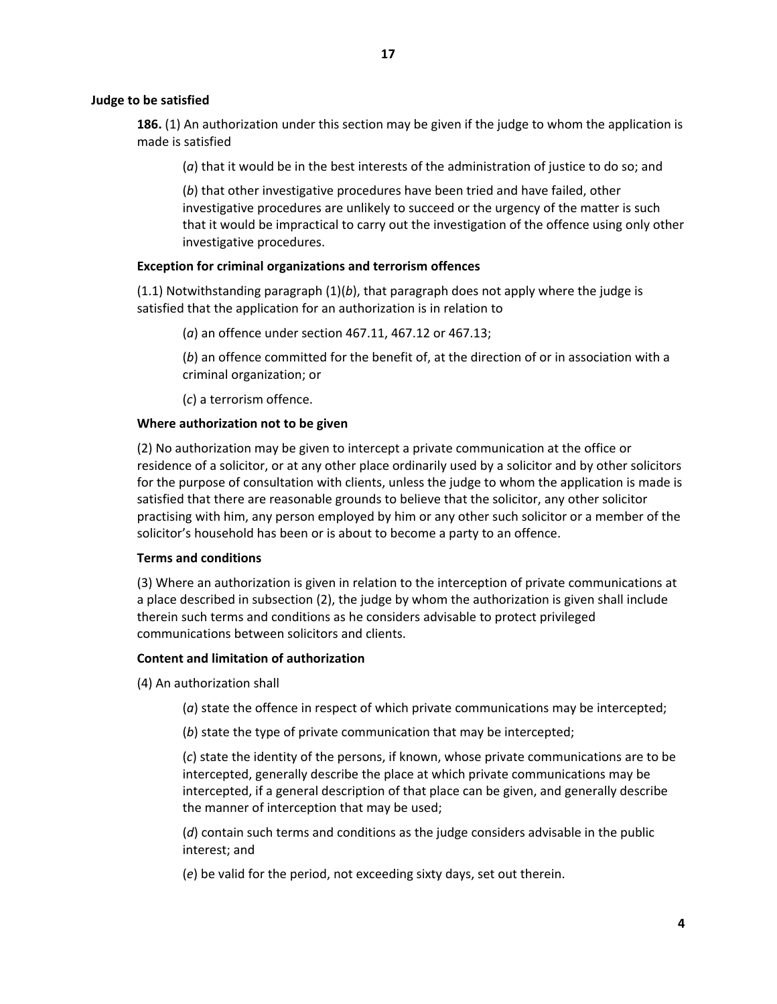**186.** (1) An authorization under this section may be given if the judge to whom the application is made is satisfied

(*a*) that it would be in the best interests of the administration of justice to do so; and

(*b*) that other investigative procedures have been tried and have failed, other investigative procedures are unlikely to succeed or the urgency of the matter is such that it would be impractical to carry out the investigation of the offence using only other investigative procedures.

## **Exception for criminal organizations and terrorism offences**

(1.1) Notwithstanding paragraph (1)(*b*), that paragraph does not apply where the judge is satisfied that the application for an authorization is in relation to

(*a*) an offence under section 467.11, 467.12 or 467.13;

(*b*) an offence committed for the benefit of, at the direction of or in association with a criminal organization; or

(*c*) a terrorism offence.

## **Where authorization not to be given**

(2) No authorization may be given to intercept a private communication at the office or residence of a solicitor, or at any other place ordinarily used by a solicitor and by other solicitors for the purpose of consultation with clients, unless the judge to whom the application is made is satisfied that there are reasonable grounds to believe that the solicitor, any other solicitor practising with him, any person employed by him or any other such solicitor or a member of the solicitor's household has been or is about to become a party to an offence.

## **Terms and conditions**

(3) Where an authorization is given in relation to the interception of private communications at a place described in subsection (2), the judge by whom the authorization is given shall include therein such terms and conditions as he considers advisable to protect privileged communications between solicitors and clients.

## **Content and limitation of authorization**

(4) An authorization shall

(*a*) state the offence in respect of which private communications may be intercepted;

(*b*) state the type of private communication that may be intercepted;

(*c*) state the identity of the persons, if known, whose private communications are to be intercepted, generally describe the place at which private communications may be intercepted, if a general description of that place can be given, and generally describe the manner of interception that may be used;

(*d*) contain such terms and conditions as the judge considers advisable in the public interest; and

(*e*) be valid for the period, not exceeding sixty days, set out therein.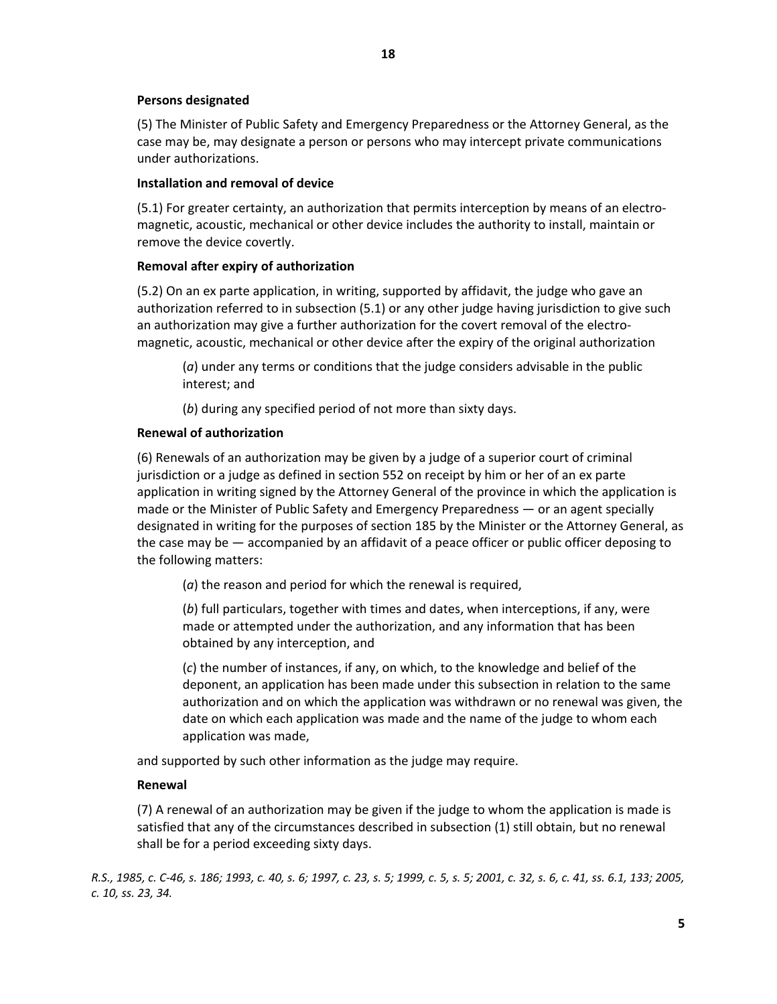## **Persons designated**

(5) The Minister of Public Safety and Emergency Preparedness or the Attorney General, as the case may be, may designate a person or persons who may intercept private communications under authorizations.

#### **Installation and removal of device**

(5.1) For greater certainty, an authorization that permits interception by means of an electro‐ magnetic, acoustic, mechanical or other device includes the authority to install, maintain or remove the device covertly.

#### **Removal after expiry of authorization**

(5.2) On an ex parte application, in writing, supported by affidavit, the judge who gave an authorization referred to in subsection (5.1) or any other judge having jurisdiction to give such an authorization may give a further authorization for the covert removal of the electromagnetic, acoustic, mechanical or other device after the expiry of the original authorization

(*a*) under any terms or conditions that the judge considers advisable in the public interest; and

(*b*) during any specified period of not more than sixty days.

## **Renewal of authorization**

(6) Renewals of an authorization may be given by a judge of a superior court of criminal jurisdiction or a judge as defined in section 552 on receipt by him or her of an ex parte application in writing signed by the Attorney General of the province in which the application is made or the Minister of Public Safety and Emergency Preparedness — or an agent specially designated in writing for the purposes of section 185 by the Minister or the Attorney General, as the case may be — accompanied by an affidavit of a peace officer or public officer deposing to the following matters:

(*a*) the reason and period for which the renewal is required,

(*b*) full particulars, together with times and dates, when interceptions, if any, were made or attempted under the authorization, and any information that has been obtained by any interception, and

(*c*) the number of instances, if any, on which, to the knowledge and belief of the deponent, an application has been made under this subsection in relation to the same authorization and on which the application was withdrawn or no renewal was given, the date on which each application was made and the name of the judge to whom each application was made,

and supported by such other information as the judge may require.

#### **Renewal**

(7) A renewal of an authorization may be given if the judge to whom the application is made is satisfied that any of the circumstances described in subsection (1) still obtain, but no renewal shall be for a period exceeding sixty days.

R.S., 1985, c. C-46, s. 186; 1993, c. 40, s. 6; 1997, c. 23, s. 5; 1999, c. 5, s. 5; 2001, c. 32, s. 6, c. 41, ss. 6.1, 133; 2005, *c. 10, ss. 23, 34.*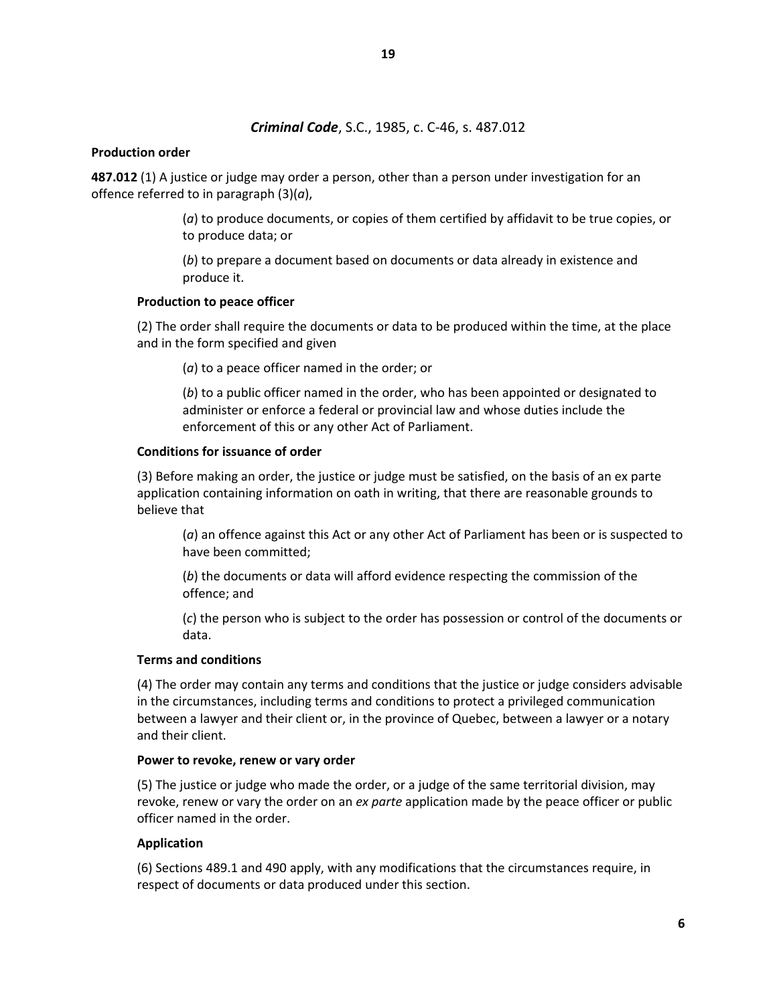## *Criminal Code*, S.C., 1985, c. C‐46, s. 487.012

## **Production order**

**487.012** (1) A justice or judge may order a person, other than a person under investigation for an offence referred to in paragraph (3)(*a*),

> (*a*) to produce documents, or copies of them certified by affidavit to be true copies, or to produce data; or

(*b*) to prepare a document based on documents or data already in existence and produce it.

## **Production to peace officer**

(2) The order shall require the documents or data to be produced within the time, at the place and in the form specified and given

(*a*) to a peace officer named in the order; or

(*b*) to a public officer named in the order, who has been appointed or designated to administer or enforce a federal or provincial law and whose duties include the enforcement of this or any other Act of Parliament.

## **Conditions for issuance of order**

(3) Before making an order, the justice or judge must be satisfied, on the basis of an ex parte application containing information on oath in writing, that there are reasonable grounds to believe that

(*a*) an offence against this Act or any other Act of Parliament has been or is suspected to have been committed;

(*b*) the documents or data will afford evidence respecting the commission of the offence; and

(*c*) the person who is subject to the order has possession or control of the documents or data.

#### **Terms and conditions**

(4) The order may contain any terms and conditions that the justice or judge considers advisable in the circumstances, including terms and conditions to protect a privileged communication between a lawyer and their client or, in the province of Quebec, between a lawyer or a notary and their client.

## **Power to revoke, renew or vary order**

(5) The justice or judge who made the order, or a judge of the same territorial division, may revoke, renew or vary the order on an *ex parte* application made by the peace officer or public officer named in the order.

## **Application**

(6) Sections 489.1 and 490 apply, with any modifications that the circumstances require, in respect of documents or data produced under this section.